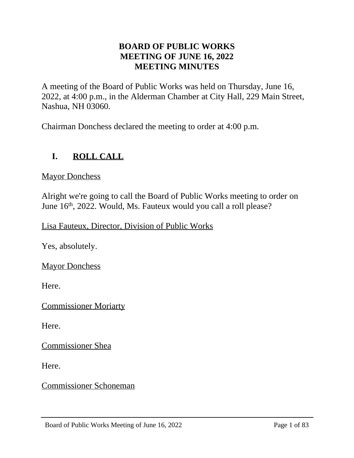# **BOARD OF PUBLIC WORKS MEETING OF JUNE 16, 2022 MEETING MINUTES**

A meeting of the Board of Public Works was held on Thursday, June 16, 2022, at 4:00 p.m., in the Alderman Chamber at City Hall, 229 Main Street, Nashua, NH 03060.

Chairman Donchess declared the meeting to order at 4:00 p.m.

# **I. ROLL CALL**

**Mayor Donchess** 

Alright we're going to call the Board of Public Works meeting to order on June 16th, 2022. Would, Ms. Fauteux would you call a roll please?

Lisa Fauteux, Director, Division of Public Works

Yes, absolutely.

**Mayor Donchess** 

Here.

Commissioner Moriarty

Here.

Commissioner Shea

Here.

Commissioner Schoneman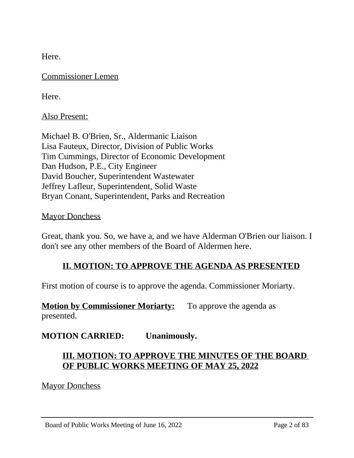Here.

Commissioner Lemen

Here.

Also Present:

Michael B. O'Brien, Sr., Aldermanic Liaison Lisa Fauteux, Director, Division of Public Works Tim Cummings, Director of Economic Development Dan Hudson, P.E., City Engineer David Boucher, Superintendent Wastewater Jeffrey Lafleur, Superintendent, Solid Waste Bryan Conant, Superintendent, Parks and Recreation

**Mayor Donchess** 

Great, thank you. So, we have a, and we have Alderman O'Brien our liaison. I don't see any other members of the Board of Aldermen here.

### **II. MOTION: TO APPROVE THE AGENDA AS PRESENTED**

First motion of course is to approve the agenda. Commissioner Moriarty.

**Motion by Commissioner Moriarty:** To approve the agenda as presented.

**MOTION CARRIED: Unanimously.**

# **III. MOTION: TO APPROVE THE MINUTES OF THE BOARD OF PUBLIC WORKS MEETING OF MAY 25, 2022**

**Mayor Donchess**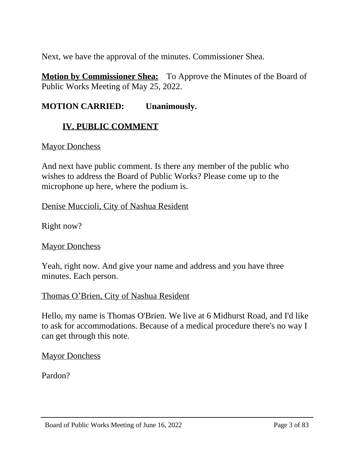Next, we have the approval of the minutes. Commissioner Shea.

**Motion by Commissioner Shea:** To Approve the Minutes of the Board of Public Works Meeting of May 25, 2022.

# **MOTION CARRIED: Unanimously.**

# **IV. PUBLIC COMMENT**

### **Mayor Donchess**

And next have public comment. Is there any member of the public who wishes to address the Board of Public Works? Please come up to the microphone up here, where the podium is.

### Denise Muccioli, City of Nashua Resident

Right now?

### **Mayor Donchess**

Yeah, right now. And give your name and address and you have three minutes. Each person.

# Thomas O'Brien, City of Nashua Resident

Hello, my name is Thomas O'Brien. We live at 6 Midhurst Road, and I'd like to ask for accommodations. Because of a medical procedure there's no way I can get through this note.

**Mayor Donchess** 

Pardon?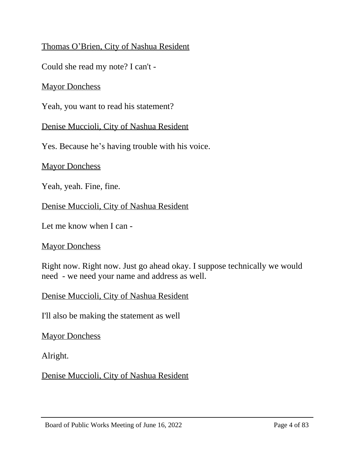# Thomas O'Brien, City of Nashua Resident

Could she read my note? I can't -

# **Mayor Donchess**

Yeah, you want to read his statement?

Denise Muccioli, City of Nashua Resident

Yes. Because he's having trouble with his voice.

**Mayor Donchess** 

Yeah, yeah. Fine, fine.

Denise Muccioli, City of Nashua Resident

Let me know when I can -

### **Mayor Donchess**

Right now. Right now. Just go ahead okay. I suppose technically we would need - we need your name and address as well.

Denise Muccioli, City of Nashua Resident

I'll also be making the statement as well

**Mayor Donchess** 

Alright.

Denise Muccioli, City of Nashua Resident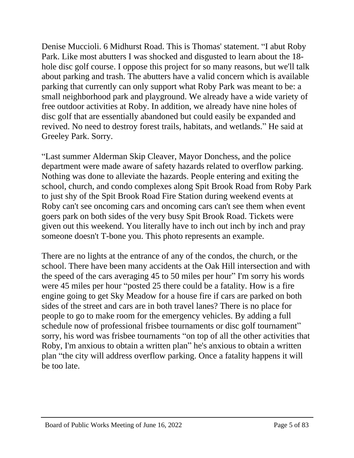Denise Muccioli. 6 Midhurst Road. This is Thomas' statement. "I abut Roby Park. Like most abutters I was shocked and disgusted to learn about the 18 hole disc golf course. I oppose this project for so many reasons, but we'll talk about parking and trash. The abutters have a valid concern which is available parking that currently can only support what Roby Park was meant to be: a small neighborhood park and playground. We already have a wide variety of free outdoor activities at Roby. In addition, we already have nine holes of disc golf that are essentially abandoned but could easily be expanded and revived. No need to destroy forest trails, habitats, and wetlands." He said at Greeley Park. Sorry.

"Last summer Alderman Skip Cleaver, Mayor Donchess, and the police department were made aware of safety hazards related to overflow parking. Nothing was done to alleviate the hazards. People entering and exiting the school, church, and condo complexes along Spit Brook Road from Roby Park to just shy of the Spit Brook Road Fire Station during weekend events at Roby can't see oncoming cars and oncoming cars can't see them when event goers park on both sides of the very busy Spit Brook Road. Tickets were given out this weekend. You literally have to inch out inch by inch and pray someone doesn't T-bone you. This photo represents an example.

There are no lights at the entrance of any of the condos, the church, or the school. There have been many accidents at the Oak Hill intersection and with the speed of the cars averaging 45 to 50 miles per hour" I'm sorry his words were 45 miles per hour "posted 25 there could be a fatality. How is a fire engine going to get Sky Meadow for a house fire if cars are parked on both sides of the street and cars are in both travel lanes? There is no place for people to go to make room for the emergency vehicles. By adding a full schedule now of professional frisbee tournaments or disc golf tournament" sorry, his word was frisbee tournaments "on top of all the other activities that Roby, I'm anxious to obtain a written plan" he's anxious to obtain a written plan "the city will address overflow parking. Once a fatality happens it will be too late.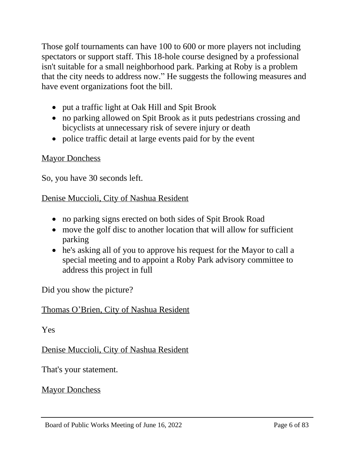Those golf tournaments can have 100 to 600 or more players not including spectators or support staff. This 18-hole course designed by a professional isn't suitable for a small neighborhood park. Parking at Roby is a problem that the city needs to address now." He suggests the following measures and have event organizations foot the bill.

- put a traffic light at Oak Hill and Spit Brook
- no parking allowed on Spit Brook as it puts pedestrians crossing and bicyclists at unnecessary risk of severe injury or death
- police traffic detail at large events paid for by the event

# Mayor Donchess

So, you have 30 seconds left.

# Denise Muccioli, City of Nashua Resident

- no parking signs erected on both sides of Spit Brook Road
- move the golf disc to another location that will allow for sufficient parking
- he's asking all of you to approve his request for the Mayor to call a special meeting and to appoint a Roby Park advisory committee to address this project in full

Did you show the picture?

# Thomas O'Brien, City of Nashua Resident

Yes

Denise Muccioli, City of Nashua Resident

That's your statement.

**Mayor Donchess**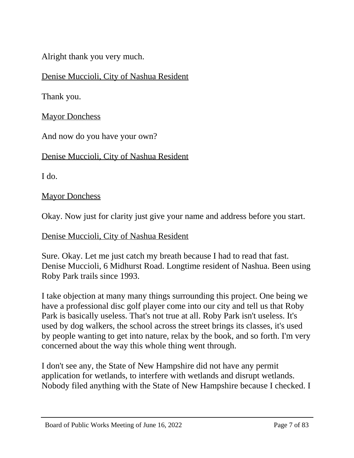Alright thank you very much.

Denise Muccioli, City of Nashua Resident

Thank you.

**Mayor Donchess** 

And now do you have your own?

Denise Muccioli, City of Nashua Resident

I do.

**Mayor Donchess** 

Okay. Now just for clarity just give your name and address before you start.

Denise Muccioli, City of Nashua Resident

Sure. Okay. Let me just catch my breath because I had to read that fast. Denise Muccioli, 6 Midhurst Road. Longtime resident of Nashua. Been using Roby Park trails since 1993.

I take objection at many many things surrounding this project. One being we have a professional disc golf player come into our city and tell us that Roby Park is basically useless. That's not true at all. Roby Park isn't useless. It's used by dog walkers, the school across the street brings its classes, it's used by people wanting to get into nature, relax by the book, and so forth. I'm very concerned about the way this whole thing went through.

I don't see any, the State of New Hampshire did not have any permit application for wetlands, to interfere with wetlands and disrupt wetlands. Nobody filed anything with the State of New Hampshire because I checked. I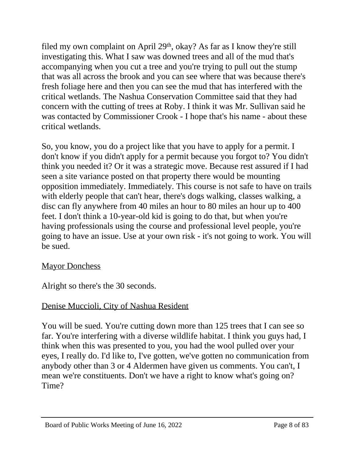filed my own complaint on April  $29<sup>th</sup>$ , okay? As far as I know they're still investigating this. What I saw was downed trees and all of the mud that's accompanying when you cut a tree and you're trying to pull out the stump that was all across the brook and you can see where that was because there's fresh foliage here and then you can see the mud that has interfered with the critical wetlands. The Nashua Conservation Committee said that they had concern with the cutting of trees at Roby. I think it was Mr. Sullivan said he was contacted by Commissioner Crook - I hope that's his name - about these critical wetlands.

So, you know, you do a project like that you have to apply for a permit. I don't know if you didn't apply for a permit because you forgot to? You didn't think you needed it? Or it was a strategic move. Because rest assured if I had seen a site variance posted on that property there would be mounting opposition immediately. Immediately. This course is not safe to have on trails with elderly people that can't hear, there's dogs walking, classes walking, a disc can fly anywhere from 40 miles an hour to 80 miles an hour up to 400 feet. I don't think a 10-year-old kid is going to do that, but when you're having professionals using the course and professional level people, you're going to have an issue. Use at your own risk - it's not going to work. You will be sued.

# **Mayor Donchess**

Alright so there's the 30 seconds.

# Denise Muccioli, City of Nashua Resident

You will be sued. You're cutting down more than 125 trees that I can see so far. You're interfering with a diverse wildlife habitat. I think you guys had, I think when this was presented to you, you had the wool pulled over your eyes, I really do. I'd like to, I've gotten, we've gotten no communication from anybody other than 3 or 4 Aldermen have given us comments. You can't, I mean we're constituents. Don't we have a right to know what's going on? Time?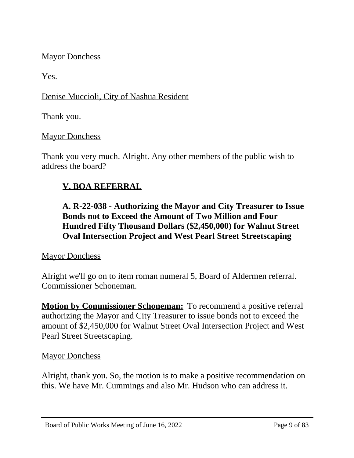# **Mayor Donchess**

Yes.

# Denise Muccioli, City of Nashua Resident

Thank you.

### Mayor Donchess

Thank you very much. Alright. Any other members of the public wish to address the board?

# **V. BOA REFERRAL**

**A. R-22-038 - Authorizing the Mayor and City Treasurer to Issue Bonds not to Exceed the Amount of Two Million and Four Hundred Fifty Thousand Dollars (\$2,450,000) for Walnut Street Oval Intersection Project and West Pearl Street Streetscaping**

### **Mayor Donchess**

Alright we'll go on to item roman numeral 5, Board of Aldermen referral. Commissioner Schoneman.

**Motion by Commissioner Schoneman:** To recommend a positive referral authorizing the Mayor and City Treasurer to issue bonds not to exceed the amount of \$2,450,000 for Walnut Street Oval Intersection Project and West Pearl Street Streetscaping.

### Mayor Donchess

Alright, thank you. So, the motion is to make a positive recommendation on this. We have Mr. Cummings and also Mr. Hudson who can address it.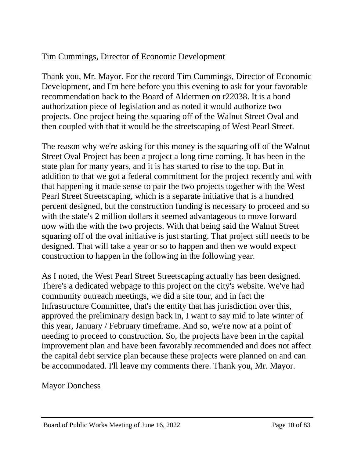# Tim Cummings, Director of Economic Development

Thank you, Mr. Mayor. For the record Tim Cummings, Director of Economic Development, and I'm here before you this evening to ask for your favorable recommendation back to the Board of Aldermen on r22038. It is a bond authorization piece of legislation and as noted it would authorize two projects. One project being the squaring off of the Walnut Street Oval and then coupled with that it would be the streetscaping of West Pearl Street.

The reason why we're asking for this money is the squaring off of the Walnut Street Oval Project has been a project a long time coming. It has been in the state plan for many years, and it is has started to rise to the top. But in addition to that we got a federal commitment for the project recently and with that happening it made sense to pair the two projects together with the West Pearl Street Streetscaping, which is a separate initiative that is a hundred percent designed, but the construction funding is necessary to proceed and so with the state's 2 million dollars it seemed advantageous to move forward now with the with the two projects. With that being said the Walnut Street squaring off of the oval initiative is just starting. That project still needs to be designed. That will take a year or so to happen and then we would expect construction to happen in the following in the following year.

As I noted, the West Pearl Street Streetscaping actually has been designed. There's a dedicated webpage to this project on the city's website. We've had community outreach meetings, we did a site tour, and in fact the Infrastructure Committee, that's the entity that has jurisdiction over this, approved the preliminary design back in, I want to say mid to late winter of this year, January / February timeframe. And so, we're now at a point of needing to proceed to construction. So, the projects have been in the capital improvement plan and have been favorably recommended and does not affect the capital debt service plan because these projects were planned on and can be accommodated. I'll leave my comments there. Thank you, Mr. Mayor.

# **Mayor Donchess**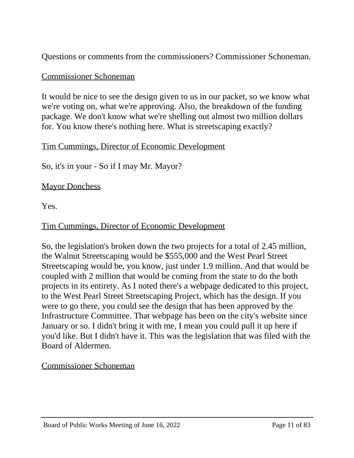Questions or comments from the commissioners? Commissioner Schoneman.

# Commissioner Schoneman

It would be nice to see the design given to us in our packet, so we know what we're voting on, what we're approving. Also, the breakdown of the funding package. We don't know what we're shelling out almost two million dollars for. You know there's nothing here. What is streetscaping exactly?

# Tim Cummings, Director of Economic Development

So, it's in your - So if I may Mr. Mayor?

**Mayor Donchess** 

Yes.

# Tim Cummings, Director of Economic Development

So, the legislation's broken down the two projects for a total of 2.45 million, the Walnut Streetscaping would be \$555,000 and the West Pearl Street Streetscaping would be, you know, just under 1.9 million. And that would be coupled with 2 million that would be coming from the state to do the both projects in its entirety. As I noted there's a webpage dedicated to this project, to the West Pearl Street Streetscaping Project, which has the design. If you were to go there, you could see the design that has been approved by the Infrastructure Committee. That webpage has been on the city's website since January or so. I didn't bring it with me, I mean you could pull it up here if you'd like. But I didn't have it. This was the legislation that was filed with the Board of Aldermen.

# Commissioner Schoneman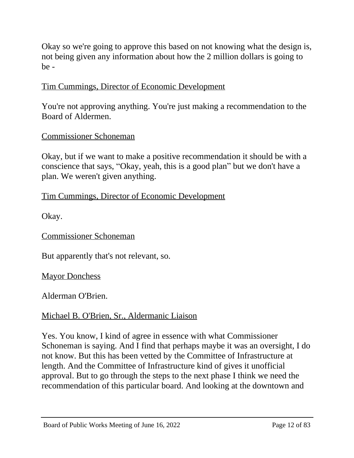Okay so we're going to approve this based on not knowing what the design is, not being given any information about how the 2 million dollars is going to be -

# Tim Cummings, Director of Economic Development

You're not approving anything. You're just making a recommendation to the Board of Aldermen.

# Commissioner Schoneman

Okay, but if we want to make a positive recommendation it should be with a conscience that says, "Okay, yeah, this is a good plan" but we don't have a plan. We weren't given anything.

# Tim Cummings, Director of Economic Development

Okay.

Commissioner Schoneman

But apparently that's not relevant, so.

**Mayor Donchess** 

Alderman O'Brien.

# Michael B. O'Brien, Sr., Aldermanic Liaison

Yes. You know, I kind of agree in essence with what Commissioner Schoneman is saying. And I find that perhaps maybe it was an oversight, I do not know. But this has been vetted by the Committee of Infrastructure at length. And the Committee of Infrastructure kind of gives it unofficial approval. But to go through the steps to the next phase I think we need the recommendation of this particular board. And looking at the downtown and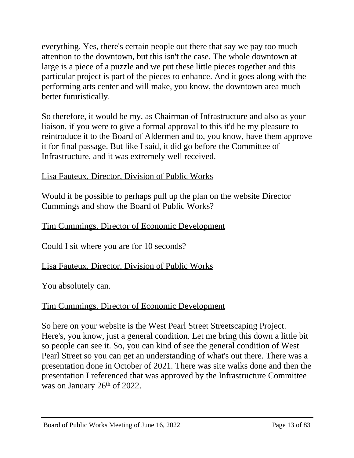everything. Yes, there's certain people out there that say we pay too much attention to the downtown, but this isn't the case. The whole downtown at large is a piece of a puzzle and we put these little pieces together and this particular project is part of the pieces to enhance. And it goes along with the performing arts center and will make, you know, the downtown area much better futuristically.

So therefore, it would be my, as Chairman of Infrastructure and also as your liaison, if you were to give a formal approval to this it'd be my pleasure to reintroduce it to the Board of Aldermen and to, you know, have them approve it for final passage. But like I said, it did go before the Committee of Infrastructure, and it was extremely well received.

# Lisa Fauteux, Director, Division of Public Works

Would it be possible to perhaps pull up the plan on the website Director Cummings and show the Board of Public Works?

# Tim Cummings, Director of Economic Development

Could I sit where you are for 10 seconds?

# Lisa Fauteux, Director, Division of Public Works

You absolutely can.

# Tim Cummings, Director of Economic Development

So here on your website is the West Pearl Street Streetscaping Project. Here's, you know, just a general condition. Let me bring this down a little bit so people can see it. So, you can kind of see the general condition of West Pearl Street so you can get an understanding of what's out there. There was a presentation done in October of 2021. There was site walks done and then the presentation I referenced that was approved by the Infrastructure Committee was on January 26<sup>th</sup> of 2022.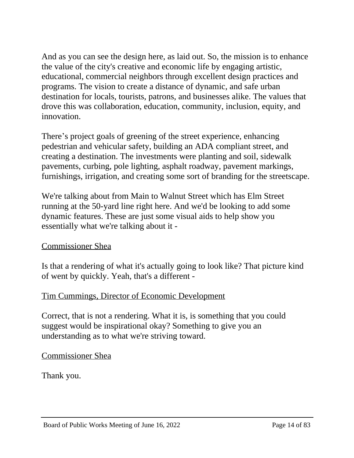And as you can see the design here, as laid out. So, the mission is to enhance the value of the city's creative and economic life by engaging artistic, educational, commercial neighbors through excellent design practices and programs. The vision to create a distance of dynamic, and safe urban destination for locals, tourists, patrons, and businesses alike. The values that drove this was collaboration, education, community, inclusion, equity, and innovation.

There's project goals of greening of the street experience, enhancing pedestrian and vehicular safety, building an ADA compliant street, and creating a destination. The investments were planting and soil, sidewalk pavements, curbing, pole lighting, asphalt roadway, pavement markings, furnishings, irrigation, and creating some sort of branding for the streetscape.

We're talking about from Main to Walnut Street which has Elm Street running at the 50-yard line right here. And we'd be looking to add some dynamic features. These are just some visual aids to help show you essentially what we're talking about it -

# Commissioner Shea

Is that a rendering of what it's actually going to look like? That picture kind of went by quickly. Yeah, that's a different -

# Tim Cummings, Director of Economic Development

Correct, that is not a rendering. What it is, is something that you could suggest would be inspirational okay? Something to give you an understanding as to what we're striving toward.

Commissioner Shea

Thank you.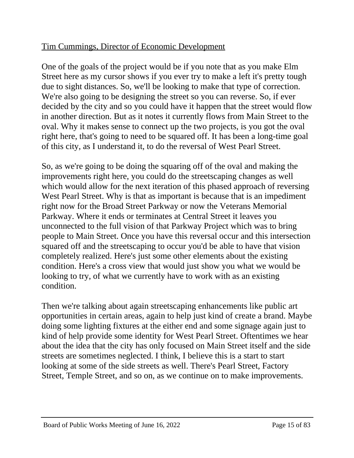# Tim Cummings, Director of Economic Development

One of the goals of the project would be if you note that as you make Elm Street here as my cursor shows if you ever try to make a left it's pretty tough due to sight distances. So, we'll be looking to make that type of correction. We're also going to be designing the street so you can reverse. So, if ever decided by the city and so you could have it happen that the street would flow in another direction. But as it notes it currently flows from Main Street to the oval. Why it makes sense to connect up the two projects, is you got the oval right here, that's going to need to be squared off. It has been a long-time goal of this city, as I understand it, to do the reversal of West Pearl Street.

So, as we're going to be doing the squaring off of the oval and making the improvements right here, you could do the streetscaping changes as well which would allow for the next iteration of this phased approach of reversing West Pearl Street. Why is that as important is because that is an impediment right now for the Broad Street Parkway or now the Veterans Memorial Parkway. Where it ends or terminates at Central Street it leaves you unconnected to the full vision of that Parkway Project which was to bring people to Main Street. Once you have this reversal occur and this intersection squared off and the streetscaping to occur you'd be able to have that vision completely realized. Here's just some other elements about the existing condition. Here's a cross view that would just show you what we would be looking to try, of what we currently have to work with as an existing condition.

Then we're talking about again streetscaping enhancements like public art opportunities in certain areas, again to help just kind of create a brand. Maybe doing some lighting fixtures at the either end and some signage again just to kind of help provide some identity for West Pearl Street. Oftentimes we hear about the idea that the city has only focused on Main Street itself and the side streets are sometimes neglected. I think, I believe this is a start to start looking at some of the side streets as well. There's Pearl Street, Factory Street, Temple Street, and so on, as we continue on to make improvements.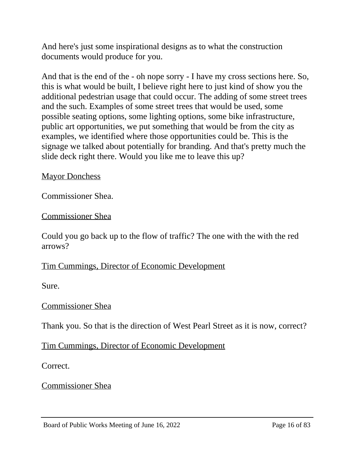And here's just some inspirational designs as to what the construction documents would produce for you.

And that is the end of the - oh nope sorry - I have my cross sections here. So, this is what would be built, I believe right here to just kind of show you the additional pedestrian usage that could occur. The adding of some street trees and the such. Examples of some street trees that would be used, some possible seating options, some lighting options, some bike infrastructure, public art opportunities, we put something that would be from the city as examples, we identified where those opportunities could be. This is the signage we talked about potentially for branding. And that's pretty much the slide deck right there. Would you like me to leave this up?

**Mayor Donchess** 

Commissioner Shea.

Commissioner Shea

Could you go back up to the flow of traffic? The one with the with the red arrows?

Tim Cummings, Director of Economic Development

Sure.

### Commissioner Shea

Thank you. So that is the direction of West Pearl Street as it is now, correct?

Tim Cummings, Director of Economic Development

Correct.

Commissioner Shea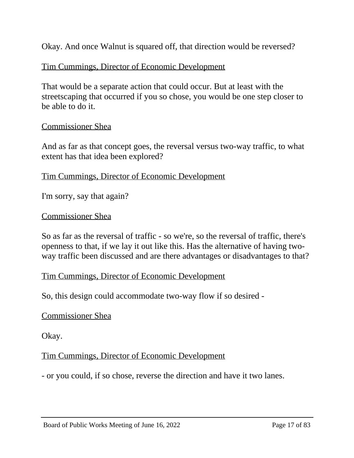Okay. And once Walnut is squared off, that direction would be reversed?

# Tim Cummings, Director of Economic Development

That would be a separate action that could occur. But at least with the streetscaping that occurred if you so chose, you would be one step closer to be able to do it.

# Commissioner Shea

And as far as that concept goes, the reversal versus two-way traffic, to what extent has that idea been explored?

### Tim Cummings, Director of Economic Development

I'm sorry, say that again?

### Commissioner Shea

So as far as the reversal of traffic - so we're, so the reversal of traffic, there's openness to that, if we lay it out like this. Has the alternative of having twoway traffic been discussed and are there advantages or disadvantages to that?

### Tim Cummings, Director of Economic Development

So, this design could accommodate two-way flow if so desired -

### Commissioner Shea

Okay.

# Tim Cummings, Director of Economic Development

- or you could, if so chose, reverse the direction and have it two lanes.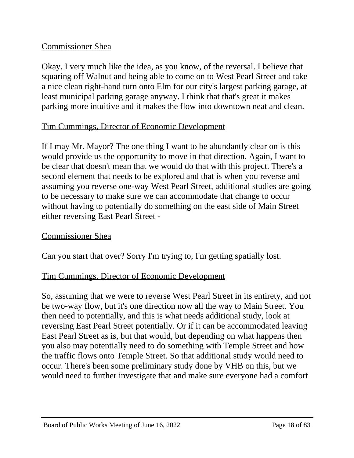# Commissioner Shea

Okay. I very much like the idea, as you know, of the reversal. I believe that squaring off Walnut and being able to come on to West Pearl Street and take a nice clean right-hand turn onto Elm for our city's largest parking garage, at least municipal parking garage anyway. I think that that's great it makes parking more intuitive and it makes the flow into downtown neat and clean.

# Tim Cummings, Director of Economic Development

If I may Mr. Mayor? The one thing I want to be abundantly clear on is this would provide us the opportunity to move in that direction. Again, I want to be clear that doesn't mean that we would do that with this project. There's a second element that needs to be explored and that is when you reverse and assuming you reverse one-way West Pearl Street, additional studies are going to be necessary to make sure we can accommodate that change to occur without having to potentially do something on the east side of Main Street either reversing East Pearl Street -

# Commissioner Shea

Can you start that over? Sorry I'm trying to, I'm getting spatially lost.

# Tim Cummings, Director of Economic Development

So, assuming that we were to reverse West Pearl Street in its entirety, and not be two-way flow, but it's one direction now all the way to Main Street. You then need to potentially, and this is what needs additional study, look at reversing East Pearl Street potentially. Or if it can be accommodated leaving East Pearl Street as is, but that would, but depending on what happens then you also may potentially need to do something with Temple Street and how the traffic flows onto Temple Street. So that additional study would need to occur. There's been some preliminary study done by VHB on this, but we would need to further investigate that and make sure everyone had a comfort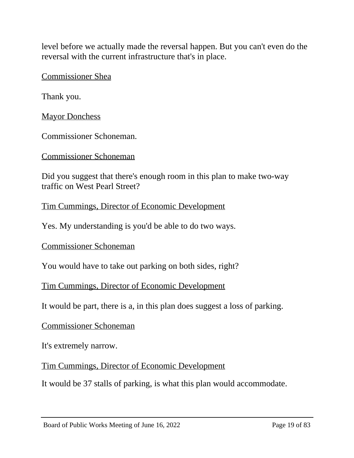level before we actually made the reversal happen. But you can't even do the reversal with the current infrastructure that's in place.

Commissioner Shea

Thank you.

**Mayor Donchess** 

Commissioner Schoneman.

Commissioner Schoneman

Did you suggest that there's enough room in this plan to make two-way traffic on West Pearl Street?

Tim Cummings, Director of Economic Development

Yes. My understanding is you'd be able to do two ways.

Commissioner Schoneman

You would have to take out parking on both sides, right?

Tim Cummings, Director of Economic Development

It would be part, there is a, in this plan does suggest a loss of parking.

Commissioner Schoneman

It's extremely narrow.

Tim Cummings, Director of Economic Development

It would be 37 stalls of parking, is what this plan would accommodate.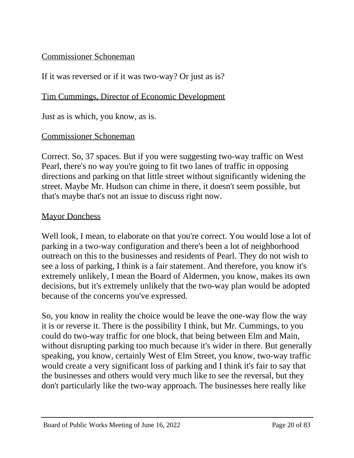# Commissioner Schoneman

# If it was reversed or if it was two-way? Or just as is?

### Tim Cummings, Director of Economic Development

Just as is which, you know, as is.

### Commissioner Schoneman

Correct. So, 37 spaces. But if you were suggesting two-way traffic on West Pearl, there's no way you're going to fit two lanes of traffic in opposing directions and parking on that little street without significantly widening the street. Maybe Mr. Hudson can chime in there, it doesn't seem possible, but that's maybe that's not an issue to discuss right now.

### **Mayor Donchess**

Well look, I mean, to elaborate on that you're correct. You would lose a lot of parking in a two-way configuration and there's been a lot of neighborhood outreach on this to the businesses and residents of Pearl. They do not wish to see a loss of parking, I think is a fair statement. And therefore, you know it's extremely unlikely, I mean the Board of Aldermen, you know, makes its own decisions, but it's extremely unlikely that the two-way plan would be adopted because of the concerns you've expressed.

So, you know in reality the choice would be leave the one-way flow the way it is or reverse it. There is the possibility I think, but Mr. Cummings, to you could do two-way traffic for one block, that being between Elm and Main, without disrupting parking too much because it's wider in there. But generally speaking, you know, certainly West of Elm Street, you know, two-way traffic would create a very significant loss of parking and I think it's fair to say that the businesses and others would very much like to see the reversal, but they don't particularly like the two-way approach. The businesses here really like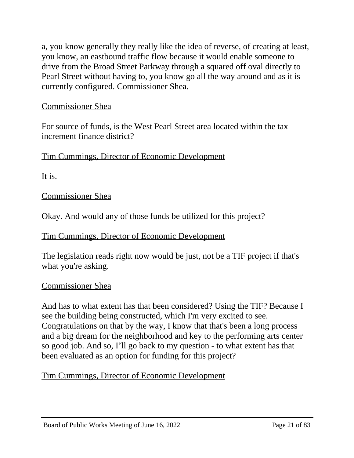a, you know generally they really like the idea of reverse, of creating at least, you know, an eastbound traffic flow because it would enable someone to drive from the Broad Street Parkway through a squared off oval directly to Pearl Street without having to, you know go all the way around and as it is currently configured. Commissioner Shea.

# Commissioner Shea

For source of funds, is the West Pearl Street area located within the tax increment finance district?

Tim Cummings, Director of Economic Development

It is.

Commissioner Shea

Okay. And would any of those funds be utilized for this project?

### Tim Cummings, Director of Economic Development

The legislation reads right now would be just, not be a TIF project if that's what you're asking.

### Commissioner Shea

And has to what extent has that been considered? Using the TIF? Because I see the building being constructed, which I'm very excited to see. Congratulations on that by the way, I know that that's been a long process and a big dream for the neighborhood and key to the performing arts center so good job. And so, I'll go back to my question - to what extent has that been evaluated as an option for funding for this project?

Tim Cummings, Director of Economic Development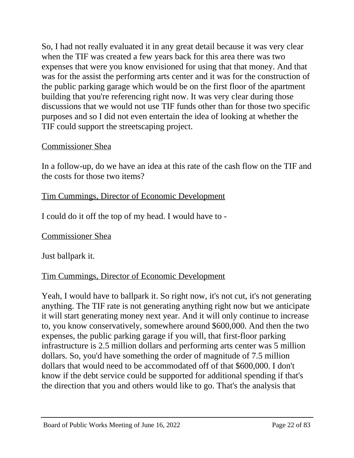So, I had not really evaluated it in any great detail because it was very clear when the TIF was created a few years back for this area there was two expenses that were you know envisioned for using that that money. And that was for the assist the performing arts center and it was for the construction of the public parking garage which would be on the first floor of the apartment building that you're referencing right now. It was very clear during those discussions that we would not use TIF funds other than for those two specific purposes and so I did not even entertain the idea of looking at whether the TIF could support the streetscaping project.

# Commissioner Shea

In a follow-up, do we have an idea at this rate of the cash flow on the TIF and the costs for those two items?

# Tim Cummings, Director of Economic Development

I could do it off the top of my head. I would have to -

# Commissioner Shea

Just ballpark it.

# Tim Cummings, Director of Economic Development

Yeah, I would have to ballpark it. So right now, it's not cut, it's not generating anything. The TIF rate is not generating anything right now but we anticipate it will start generating money next year. And it will only continue to increase to, you know conservatively, somewhere around \$600,000. And then the two expenses, the public parking garage if you will, that first-floor parking infrastructure is 2.5 million dollars and performing arts center was 5 million dollars. So, you'd have something the order of magnitude of 7.5 million dollars that would need to be accommodated off of that \$600,000. I don't know if the debt service could be supported for additional spending if that's the direction that you and others would like to go. That's the analysis that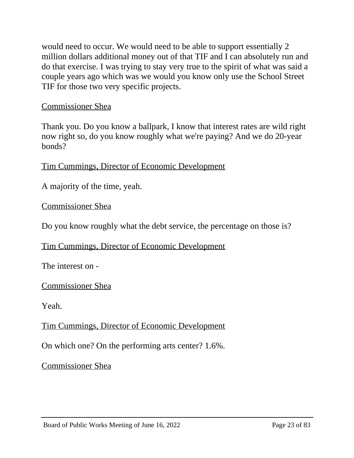would need to occur. We would need to be able to support essentially 2 million dollars additional money out of that TIF and I can absolutely run and do that exercise. I was trying to stay very true to the spirit of what was said a couple years ago which was we would you know only use the School Street TIF for those two very specific projects.

### Commissioner Shea

Thank you. Do you know a ballpark, I know that interest rates are wild right now right so, do you know roughly what we're paying? And we do 20-year bonds?

Tim Cummings, Director of Economic Development

A majority of the time, yeah.

Commissioner Shea

Do you know roughly what the debt service, the percentage on those is?

Tim Cummings, Director of Economic Development

The interest on -

Commissioner Shea

Yeah.

Tim Cummings, Director of Economic Development

On which one? On the performing arts center? 1.6%.

Commissioner Shea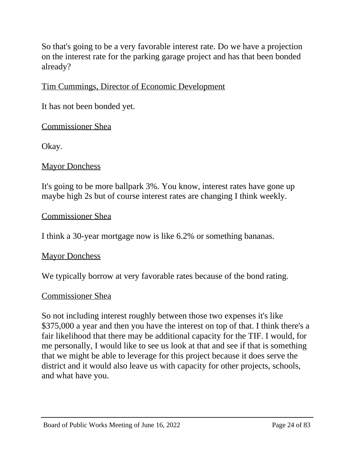So that's going to be a very favorable interest rate. Do we have a projection on the interest rate for the parking garage project and has that been bonded already?

# Tim Cummings, Director of Economic Development

It has not been bonded yet.

# Commissioner Shea

Okay.

# **Mayor Donchess**

It's going to be more ballpark 3%. You know, interest rates have gone up maybe high 2s but of course interest rates are changing I think weekly.

### Commissioner Shea

I think a 30-year mortgage now is like 6.2% or something bananas.

### **Mayor Donchess**

We typically borrow at very favorable rates because of the bond rating.

### Commissioner Shea

So not including interest roughly between those two expenses it's like \$375,000 a year and then you have the interest on top of that. I think there's a fair likelihood that there may be additional capacity for the TIF. I would, for me personally, I would like to see us look at that and see if that is something that we might be able to leverage for this project because it does serve the district and it would also leave us with capacity for other projects, schools, and what have you.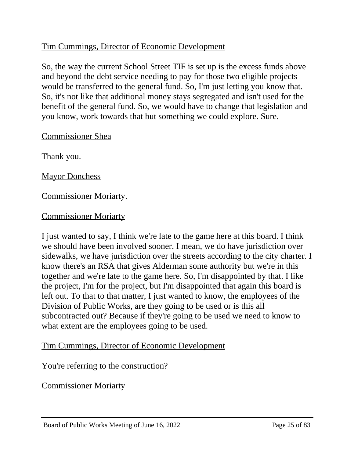# Tim Cummings, Director of Economic Development

So, the way the current School Street TIF is set up is the excess funds above and beyond the debt service needing to pay for those two eligible projects would be transferred to the general fund. So, I'm just letting you know that. So, it's not like that additional money stays segregated and isn't used for the benefit of the general fund. So, we would have to change that legislation and you know, work towards that but something we could explore. Sure.

### Commissioner Shea

Thank you.

**Mayor Donchess** 

Commissioner Moriarty.

### Commissioner Moriarty

I just wanted to say, I think we're late to the game here at this board. I think we should have been involved sooner. I mean, we do have jurisdiction over sidewalks, we have jurisdiction over the streets according to the city charter. I know there's an RSA that gives Alderman some authority but we're in this together and we're late to the game here. So, I'm disappointed by that. I like the project, I'm for the project, but I'm disappointed that again this board is left out. To that to that matter, I just wanted to know, the employees of the Division of Public Works, are they going to be used or is this all subcontracted out? Because if they're going to be used we need to know to what extent are the employees going to be used.

### Tim Cummings, Director of Economic Development

You're referring to the construction?

Commissioner Moriarty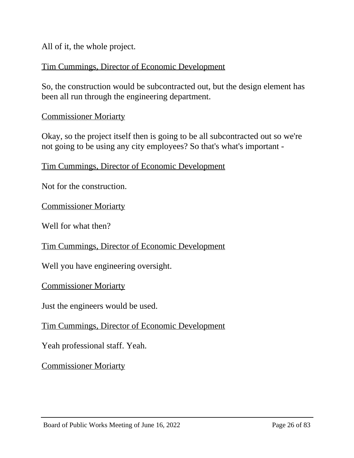All of it, the whole project.

# Tim Cummings, Director of Economic Development

So, the construction would be subcontracted out, but the design element has been all run through the engineering department.

### Commissioner Moriarty

Okay, so the project itself then is going to be all subcontracted out so we're not going to be using any city employees? So that's what's important -

Tim Cummings, Director of Economic Development

Not for the construction.

Commissioner Moriarty

Well for what then?

Tim Cummings, Director of Economic Development

Well you have engineering oversight.

Commissioner Moriarty

Just the engineers would be used.

Tim Cummings, Director of Economic Development

Yeah professional staff. Yeah.

Commissioner Moriarty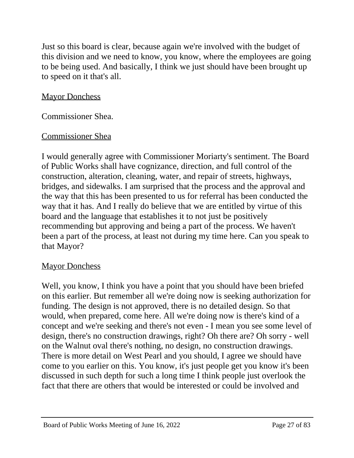Just so this board is clear, because again we're involved with the budget of this division and we need to know, you know, where the employees are going to be being used. And basically, I think we just should have been brought up to speed on it that's all.

# **Mayor Donchess**

Commissioner Shea.

# Commissioner Shea

I would generally agree with Commissioner Moriarty's sentiment. The Board of Public Works shall have cognizance, direction, and full control of the construction, alteration, cleaning, water, and repair of streets, highways, bridges, and sidewalks. I am surprised that the process and the approval and the way that this has been presented to us for referral has been conducted the way that it has. And I really do believe that we are entitled by virtue of this board and the language that establishes it to not just be positively recommending but approving and being a part of the process. We haven't been a part of the process, at least not during my time here. Can you speak to that Mayor?

# **Mayor Donchess**

Well, you know, I think you have a point that you should have been briefed on this earlier. But remember all we're doing now is seeking authorization for funding. The design is not approved, there is no detailed design. So that would, when prepared, come here. All we're doing now is there's kind of a concept and we're seeking and there's not even - I mean you see some level of design, there's no construction drawings, right? Oh there are? Oh sorry - well on the Walnut oval there's nothing, no design, no construction drawings. There is more detail on West Pearl and you should, I agree we should have come to you earlier on this. You know, it's just people get you know it's been discussed in such depth for such a long time I think people just overlook the fact that there are others that would be interested or could be involved and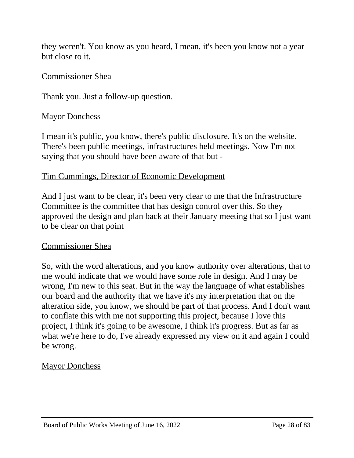they weren't. You know as you heard, I mean, it's been you know not a year but close to it.

### Commissioner Shea

Thank you. Just a follow-up question.

### **Mayor Donchess**

I mean it's public, you know, there's public disclosure. It's on the website. There's been public meetings, infrastructures held meetings. Now I'm not saying that you should have been aware of that but -

### Tim Cummings, Director of Economic Development

And I just want to be clear, it's been very clear to me that the Infrastructure Committee is the committee that has design control over this. So they approved the design and plan back at their January meeting that so I just want to be clear on that point

# Commissioner Shea

So, with the word alterations, and you know authority over alterations, that to me would indicate that we would have some role in design. And I may be wrong, I'm new to this seat. But in the way the language of what establishes our board and the authority that we have it's my interpretation that on the alteration side, you know, we should be part of that process. And I don't want to conflate this with me not supporting this project, because I love this project, I think it's going to be awesome, I think it's progress. But as far as what we're here to do, I've already expressed my view on it and again I could be wrong.

# **Mayor Donchess**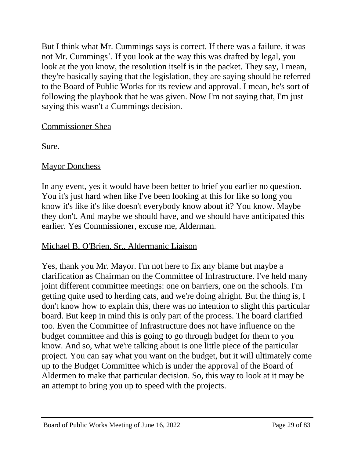But I think what Mr. Cummings says is correct. If there was a failure, it was not Mr. Cummings'. If you look at the way this was drafted by legal, you look at the you know, the resolution itself is in the packet. They say, I mean, they're basically saying that the legislation, they are saying should be referred to the Board of Public Works for its review and approval. I mean, he's sort of following the playbook that he was given. Now I'm not saying that, I'm just saying this wasn't a Cummings decision.

# Commissioner Shea

Sure.

# **Mayor Donchess**

In any event, yes it would have been better to brief you earlier no question. You it's just hard when like I've been looking at this for like so long you know it's like it's like doesn't everybody know about it? You know. Maybe they don't. And maybe we should have, and we should have anticipated this earlier. Yes Commissioner, excuse me, Alderman.

# Michael B. O'Brien, Sr., Aldermanic Liaison

Yes, thank you Mr. Mayor. I'm not here to fix any blame but maybe a clarification as Chairman on the Committee of Infrastructure. I've held many joint different committee meetings: one on barriers, one on the schools. I'm getting quite used to herding cats, and we're doing alright. But the thing is, I don't know how to explain this, there was no intention to slight this particular board. But keep in mind this is only part of the process. The board clarified too. Even the Committee of Infrastructure does not have influence on the budget committee and this is going to go through budget for them to you know. And so, what we're talking about is one little piece of the particular project. You can say what you want on the budget, but it will ultimately come up to the Budget Committee which is under the approval of the Board of Aldermen to make that particular decision. So, this way to look at it may be an attempt to bring you up to speed with the projects.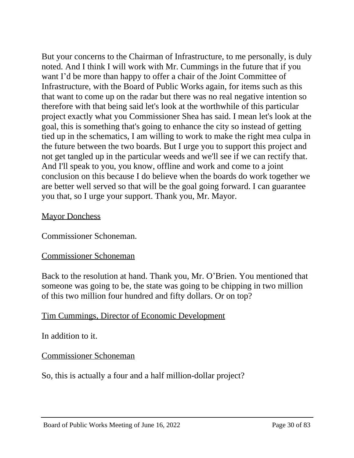But your concerns to the Chairman of Infrastructure, to me personally, is duly noted. And I think I will work with Mr. Cummings in the future that if you want I'd be more than happy to offer a chair of the Joint Committee of Infrastructure, with the Board of Public Works again, for items such as this that want to come up on the radar but there was no real negative intention so therefore with that being said let's look at the worthwhile of this particular project exactly what you Commissioner Shea has said. I mean let's look at the goal, this is something that's going to enhance the city so instead of getting tied up in the schematics, I am willing to work to make the right mea culpa in the future between the two boards. But I urge you to support this project and not get tangled up in the particular weeds and we'll see if we can rectify that. And I'll speak to you, you know, offline and work and come to a joint conclusion on this because I do believe when the boards do work together we are better well served so that will be the goal going forward. I can guarantee you that, so I urge your support. Thank you, Mr. Mayor.

# **Mayor Donchess**

Commissioner Schoneman.

# Commissioner Schoneman

Back to the resolution at hand. Thank you, Mr. O'Brien. You mentioned that someone was going to be, the state was going to be chipping in two million of this two million four hundred and fifty dollars. Or on top?

# Tim Cummings, Director of Economic Development

In addition to it.

# Commissioner Schoneman

So, this is actually a four and a half million-dollar project?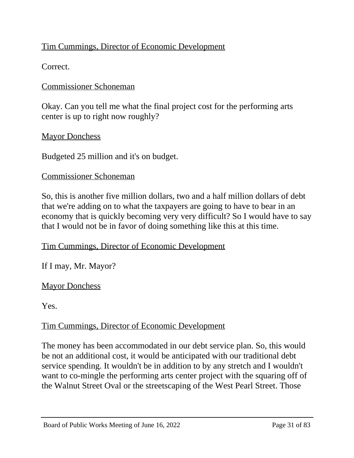# Tim Cummings, Director of Economic Development

Correct.

# Commissioner Schoneman

Okay. Can you tell me what the final project cost for the performing arts center is up to right now roughly?

# Mayor Donchess

Budgeted 25 million and it's on budget.

### Commissioner Schoneman

So, this is another five million dollars, two and a half million dollars of debt that we're adding on to what the taxpayers are going to have to bear in an economy that is quickly becoming very very difficult? So I would have to say that I would not be in favor of doing something like this at this time.

# Tim Cummings, Director of Economic Development

If I may, Mr. Mayor?

# **Mayor Donchess**

Yes.

# Tim Cummings, Director of Economic Development

The money has been accommodated in our debt service plan. So, this would be not an additional cost, it would be anticipated with our traditional debt service spending. It wouldn't be in addition to by any stretch and I wouldn't want to co-mingle the performing arts center project with the squaring off of the Walnut Street Oval or the streetscaping of the West Pearl Street. Those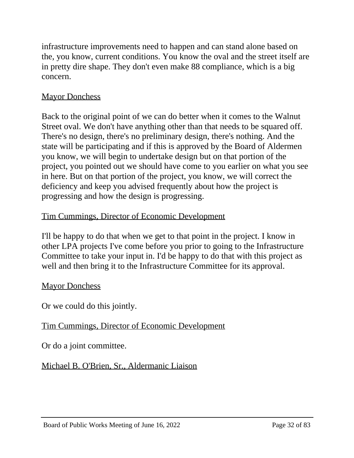infrastructure improvements need to happen and can stand alone based on the, you know, current conditions. You know the oval and the street itself are in pretty dire shape. They don't even make 88 compliance, which is a big concern.

# **Mayor Donchess**

Back to the original point of we can do better when it comes to the Walnut Street oval. We don't have anything other than that needs to be squared off. There's no design, there's no preliminary design, there's nothing. And the state will be participating and if this is approved by the Board of Aldermen you know, we will begin to undertake design but on that portion of the project, you pointed out we should have come to you earlier on what you see in here. But on that portion of the project, you know, we will correct the deficiency and keep you advised frequently about how the project is progressing and how the design is progressing.

# Tim Cummings, Director of Economic Development

I'll be happy to do that when we get to that point in the project. I know in other LPA projects I've come before you prior to going to the Infrastructure Committee to take your input in. I'd be happy to do that with this project as well and then bring it to the Infrastructure Committee for its approval.

# **Mayor Donchess**

Or we could do this jointly.

# Tim Cummings, Director of Economic Development

Or do a joint committee.

Michael B. O'Brien, Sr., Aldermanic Liaison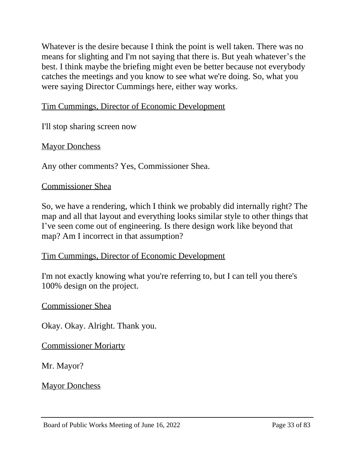Whatever is the desire because I think the point is well taken. There was no means for slighting and I'm not saying that there is. But yeah whatever's the best. I think maybe the briefing might even be better because not everybody catches the meetings and you know to see what we're doing. So, what you were saying Director Cummings here, either way works.

# Tim Cummings, Director of Economic Development

I'll stop sharing screen now

**Mayor Donchess** 

Any other comments? Yes, Commissioner Shea.

# Commissioner Shea

So, we have a rendering, which I think we probably did internally right? The map and all that layout and everything looks similar style to other things that I've seen come out of engineering. Is there design work like beyond that map? Am I incorrect in that assumption?

# Tim Cummings, Director of Economic Development

I'm not exactly knowing what you're referring to, but I can tell you there's 100% design on the project.

# Commissioner Shea

Okay. Okay. Alright. Thank you.

Commissioner Moriarty

Mr. Mayor?

**Mayor Donchess**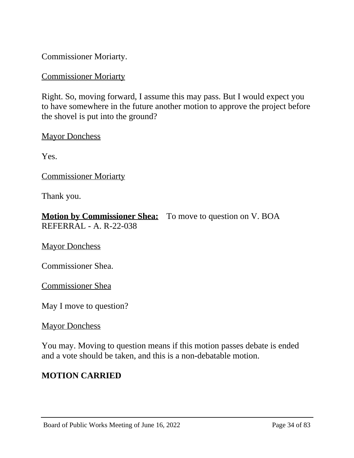Commissioner Moriarty.

### Commissioner Moriarty

Right. So, moving forward, I assume this may pass. But I would expect you to have somewhere in the future another motion to approve the project before the shovel is put into the ground?

**Mayor Donchess** 

Yes.

Commissioner Moriarty

Thank you.

| <b>Motion by Commissioner Shea:</b> To move to question on V. BOA |  |
|-------------------------------------------------------------------|--|
| REFERRAL - A. R-22-038                                            |  |

**Mayor Donchess** 

Commissioner Shea.

Commissioner Shea

May I move to question?

**Mayor Donchess** 

You may. Moving to question means if this motion passes debate is ended and a vote should be taken, and this is a non-debatable motion.

# **MOTION CARRIED**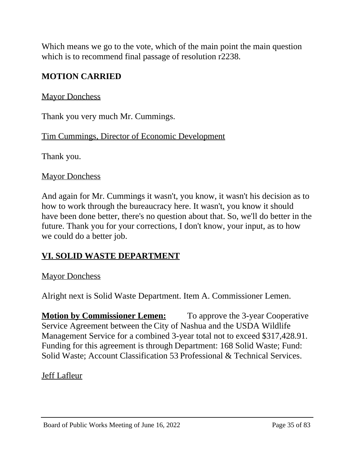Which means we go to the vote, which of the main point the main question which is to recommend final passage of resolution r2238.

# **MOTION CARRIED**

### **Mayor Donchess**

Thank you very much Mr. Cummings.

Tim Cummings, Director of Economic Development

Thank you.

#### **Mayor Donchess**

And again for Mr. Cummings it wasn't, you know, it wasn't his decision as to how to work through the bureaucracy here. It wasn't, you know it should have been done better, there's no question about that. So, we'll do better in the future. Thank you for your corrections, I don't know, your input, as to how we could do a better job.

# **VI. SOLID WASTE DEPARTMENT**

### **Mayor Donchess**

Alright next is Solid Waste Department. Item A. Commissioner Lemen.

**Motion by Commissioner Lemen:** To approve the 3-year Cooperative Service Agreement between the City of Nashua and the USDA Wildlife Management Service for a combined 3-year total not to exceed \$317,428.91. Funding for this agreement is through Department: 168 Solid Waste; Fund: Solid Waste; Account Classification 53 Professional & Technical Services.

Jeff Lafleur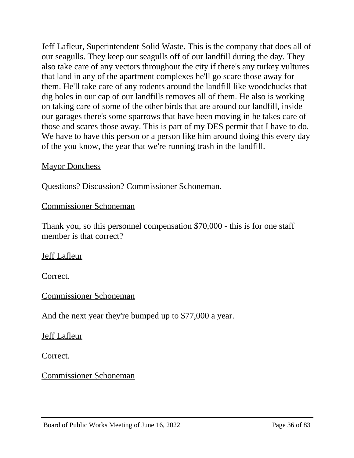Jeff Lafleur, Superintendent Solid Waste. This is the company that does all of our seagulls. They keep our seagulls off of our landfill during the day. They also take care of any vectors throughout the city if there's any turkey vultures that land in any of the apartment complexes he'll go scare those away for them. He'll take care of any rodents around the landfill like woodchucks that dig holes in our cap of our landfills removes all of them. He also is working on taking care of some of the other birds that are around our landfill, inside our garages there's some sparrows that have been moving in he takes care of those and scares those away. This is part of my DES permit that I have to do. We have to have this person or a person like him around doing this every day of the you know, the year that we're running trash in the landfill.

# **Mayor Donchess**

Questions? Discussion? Commissioner Schoneman.

# Commissioner Schoneman

Thank you, so this personnel compensation \$70,000 - this is for one staff member is that correct?

Jeff Lafleur

Correct.

Commissioner Schoneman

And the next year they're bumped up to \$77,000 a year.

### Jeff Lafleur

Correct.

# Commissioner Schoneman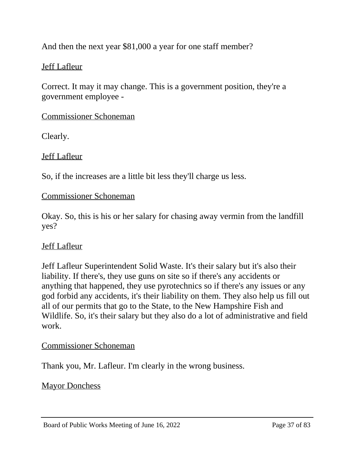And then the next year \$81,000 a year for one staff member?

# Jeff Lafleur

Correct. It may it may change. This is a government position, they're a government employee -

# Commissioner Schoneman

Clearly.

Jeff Lafleur

So, if the increases are a little bit less they'll charge us less.

# Commissioner Schoneman

Okay. So, this is his or her salary for chasing away vermin from the landfill yes?

# Jeff Lafleur

Jeff Lafleur Superintendent Solid Waste. It's their salary but it's also their liability. If there's, they use guns on site so if there's any accidents or anything that happened, they use pyrotechnics so if there's any issues or any god forbid any accidents, it's their liability on them. They also help us fill out all of our permits that go to the State, to the New Hampshire Fish and Wildlife. So, it's their salary but they also do a lot of administrative and field work.

# Commissioner Schoneman

Thank you, Mr. Lafleur. I'm clearly in the wrong business.

# **Mayor Donchess**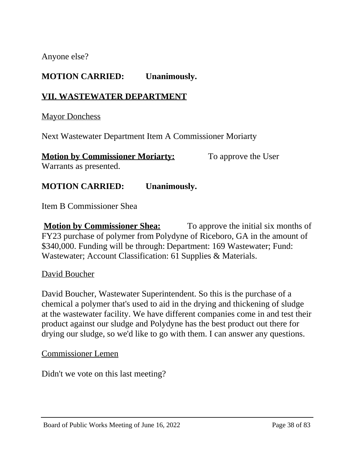Anyone else?

# **MOTION CARRIED: Unanimously.**

# **VII. WASTEWATER DEPARTMENT**

**Mayor Donchess** 

Next Wastewater Department Item A Commissioner Moriarty

**Motion by Commissioner Moriarty:** To approve the User Warrants as presented.

# **MOTION CARRIED: Unanimously.**

Item B Commissioner Shea

**Motion by Commissioner Shea:** To approve the initial six months of FY23 purchase of polymer from Polydyne of Riceboro, GA in the amount of \$340,000. Funding will be through: Department: 169 Wastewater; Fund: Wastewater; Account Classification: 61 Supplies & Materials.

#### David Boucher

David Boucher, Wastewater Superintendent. So this is the purchase of a chemical a polymer that's used to aid in the drying and thickening of sludge at the wastewater facility. We have different companies come in and test their product against our sludge and Polydyne has the best product out there for drying our sludge, so we'd like to go with them. I can answer any questions.

Commissioner Lemen

Didn't we vote on this last meeting?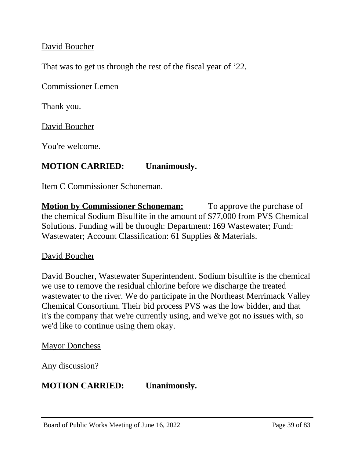# David Boucher

That was to get us through the rest of the fiscal year of '22.

Commissioner Lemen

Thank you.

David Boucher

You're welcome.

# **MOTION CARRIED: Unanimously.**

Item C Commissioner Schoneman.

**Motion by Commissioner Schoneman:** To approve the purchase of the chemical Sodium Bisulfite in the amount of \$77,000 from PVS Chemical Solutions. Funding will be through: Department: 169 Wastewater; Fund: Wastewater; Account Classification: 61 Supplies & Materials.

# David Boucher

David Boucher, Wastewater Superintendent. Sodium bisulfite is the chemical we use to remove the residual chlorine before we discharge the treated wastewater to the river. We do participate in the Northeast Merrimack Valley Chemical Consortium. Their bid process PVS was the low bidder, and that it's the company that we're currently using, and we've got no issues with, so we'd like to continue using them okay.

# **Mayor Donchess**

Any discussion?

# **MOTION CARRIED: Unanimously.**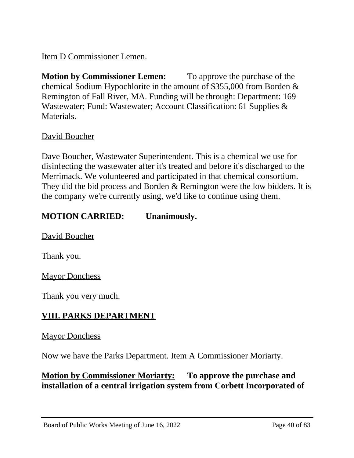Item D Commissioner Lemen.

**Motion by Commissioner Lemen:** To approve the purchase of the chemical Sodium Hypochlorite in the amount of \$355,000 from Borden & Remington of Fall River, MA. Funding will be through: Department: 169 Wastewater; Fund: Wastewater; Account Classification: 61 Supplies & Materials.

# David Boucher

Dave Boucher, Wastewater Superintendent. This is a chemical we use for disinfecting the wastewater after it's treated and before it's discharged to the Merrimack. We volunteered and participated in that chemical consortium. They did the bid process and Borden & Remington were the low bidders. It is the company we're currently using, we'd like to continue using them.

# **MOTION CARRIED: Unanimously.**

David Boucher

Thank you.

**Mayor Donchess** 

Thank you very much.

# **VIII. PARKS DEPARTMENT**

# **Mayor Donchess**

Now we have the Parks Department. Item A Commissioner Moriarty.

# **Motion by Commissioner Moriarty: To approve the purchase and installation of a central irrigation system from Corbett Incorporated of**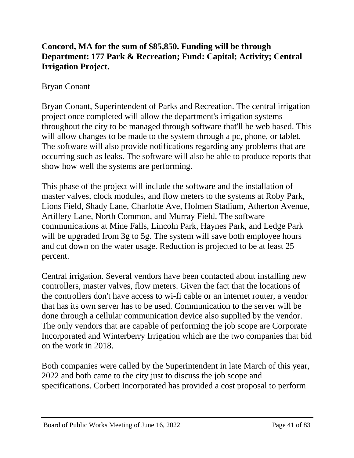# **Concord, MA for the sum of \$85,850. Funding will be through Department: 177 Park & Recreation; Fund: Capital; Activity; Central Irrigation Project.**

# Bryan Conant

Bryan Conant, Superintendent of Parks and Recreation. The central irrigation project once completed will allow the department's irrigation systems throughout the city to be managed through software that'll be web based. This will allow changes to be made to the system through a pc, phone, or tablet. The software will also provide notifications regarding any problems that are occurring such as leaks. The software will also be able to produce reports that show how well the systems are performing.

This phase of the project will include the software and the installation of master valves, clock modules, and flow meters to the systems at Roby Park, Lions Field, Shady Lane, Charlotte Ave, Holmen Stadium, Atherton Avenue, Artillery Lane, North Common, and Murray Field. The software communications at Mine Falls, Lincoln Park, Haynes Park, and Ledge Park will be upgraded from 3g to 5g. The system will save both employee hours and cut down on the water usage. Reduction is projected to be at least 25 percent.

Central irrigation. Several vendors have been contacted about installing new controllers, master valves, flow meters. Given the fact that the locations of the controllers don't have access to wi-fi cable or an internet router, a vendor that has its own server has to be used. Communication to the server will be done through a cellular communication device also supplied by the vendor. The only vendors that are capable of performing the job scope are Corporate Incorporated and Winterberry Irrigation which are the two companies that bid on the work in 2018.

Both companies were called by the Superintendent in late March of this year, 2022 and both came to the city just to discuss the job scope and specifications. Corbett Incorporated has provided a cost proposal to perform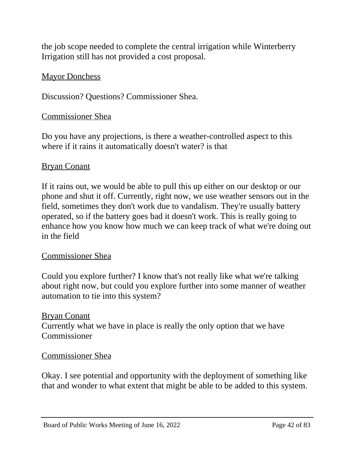the job scope needed to complete the central irrigation while Winterberry Irrigation still has not provided a cost proposal.

# **Mayor Donchess**

Discussion? Questions? Commissioner Shea.

# Commissioner Shea

Do you have any projections, is there a weather-controlled aspect to this where if it rains it automatically doesn't water? is that

# Bryan Conant

If it rains out, we would be able to pull this up either on our desktop or our phone and shut it off. Currently, right now, we use weather sensors out in the field, sometimes they don't work due to vandalism. They're usually battery operated, so if the battery goes bad it doesn't work. This is really going to enhance how you know how much we can keep track of what we're doing out in the field

# Commissioner Shea

Could you explore further? I know that's not really like what we're talking about right now, but could you explore further into some manner of weather automation to tie into this system?

# Bryan Conant Currently what we have in place is really the only option that we have Commissioner

# Commissioner Shea

Okay. I see potential and opportunity with the deployment of something like that and wonder to what extent that might be able to be added to this system.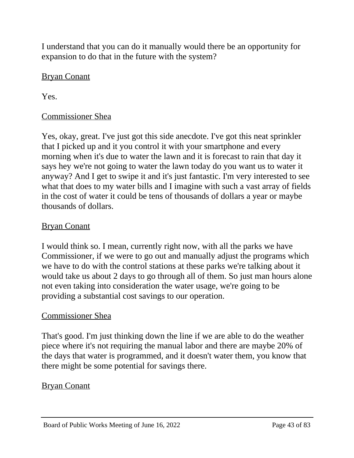I understand that you can do it manually would there be an opportunity for expansion to do that in the future with the system?

# Bryan Conant

Yes.

# Commissioner Shea

Yes, okay, great. I've just got this side anecdote. I've got this neat sprinkler that I picked up and it you control it with your smartphone and every morning when it's due to water the lawn and it is forecast to rain that day it says hey we're not going to water the lawn today do you want us to water it anyway? And I get to swipe it and it's just fantastic. I'm very interested to see what that does to my water bills and I imagine with such a vast array of fields in the cost of water it could be tens of thousands of dollars a year or maybe thousands of dollars.

# Bryan Conant

I would think so. I mean, currently right now, with all the parks we have Commissioner, if we were to go out and manually adjust the programs which we have to do with the control stations at these parks we're talking about it would take us about 2 days to go through all of them. So just man hours alone not even taking into consideration the water usage, we're going to be providing a substantial cost savings to our operation.

# Commissioner Shea

That's good. I'm just thinking down the line if we are able to do the weather piece where it's not requiring the manual labor and there are maybe 20% of the days that water is programmed, and it doesn't water them, you know that there might be some potential for savings there.

# Bryan Conant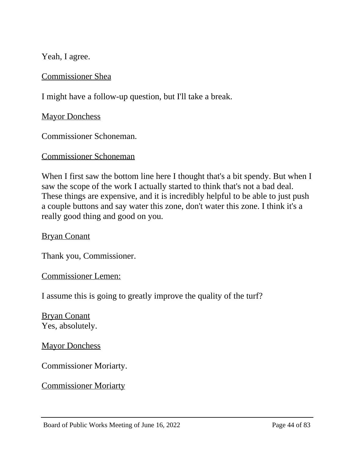Yeah, I agree.

Commissioner Shea

I might have a follow-up question, but I'll take a break.

**Mayor Donchess** 

Commissioner Schoneman.

# Commissioner Schoneman

When I first saw the bottom line here I thought that's a bit spendy. But when I saw the scope of the work I actually started to think that's not a bad deal. These things are expensive, and it is incredibly helpful to be able to just push a couple buttons and say water this zone, don't water this zone. I think it's a really good thing and good on you.

# Bryan Conant

Thank you, Commissioner.

#### Commissioner Lemen:

I assume this is going to greatly improve the quality of the turf?

Bryan Conant Yes, absolutely.

**Mayor Donchess** 

Commissioner Moriarty.

# Commissioner Moriarty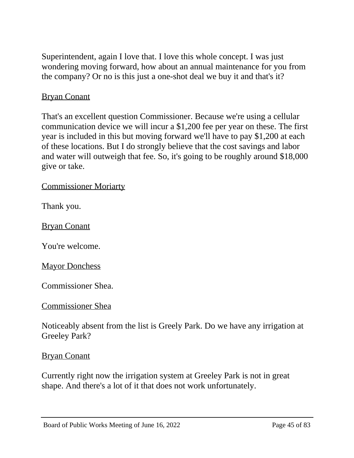Superintendent, again I love that. I love this whole concept. I was just wondering moving forward, how about an annual maintenance for you from the company? Or no is this just a one-shot deal we buy it and that's it?

# Bryan Conant

That's an excellent question Commissioner. Because we're using a cellular communication device we will incur a \$1,200 fee per year on these. The first year is included in this but moving forward we'll have to pay \$1,200 at each of these locations. But I do strongly believe that the cost savings and labor and water will outweigh that fee. So, it's going to be roughly around \$18,000 give or take.

Commissioner Moriarty

Thank you.

Bryan Conant

You're welcome.

**Mayor Donchess** 

Commissioner Shea.

Commissioner Shea

Noticeably absent from the list is Greely Park. Do we have any irrigation at Greeley Park?

#### Bryan Conant

Currently right now the irrigation system at Greeley Park is not in great shape. And there's a lot of it that does not work unfortunately.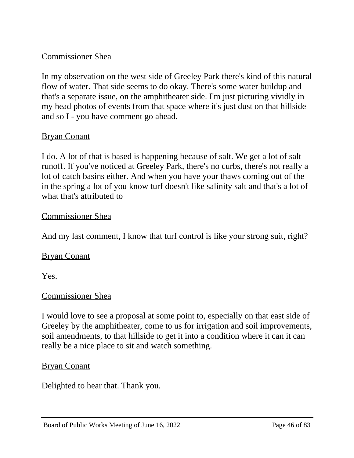# Commissioner Shea

In my observation on the west side of Greeley Park there's kind of this natural flow of water. That side seems to do okay. There's some water buildup and that's a separate issue, on the amphitheater side. I'm just picturing vividly in my head photos of events from that space where it's just dust on that hillside and so I - you have comment go ahead.

# Bryan Conant

I do. A lot of that is based is happening because of salt. We get a lot of salt runoff. If you've noticed at Greeley Park, there's no curbs, there's not really a lot of catch basins either. And when you have your thaws coming out of the in the spring a lot of you know turf doesn't like salinity salt and that's a lot of what that's attributed to

# Commissioner Shea

And my last comment, I know that turf control is like your strong suit, right?

# Bryan Conant

Yes.

# Commissioner Shea

I would love to see a proposal at some point to, especially on that east side of Greeley by the amphitheater, come to us for irrigation and soil improvements, soil amendments, to that hillside to get it into a condition where it can it can really be a nice place to sit and watch something.

#### Bryan Conant

Delighted to hear that. Thank you.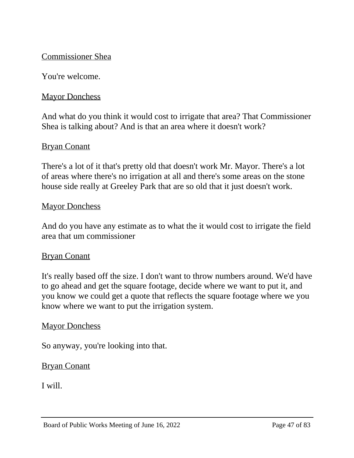# Commissioner Shea

You're welcome.

# **Mayor Donchess**

And what do you think it would cost to irrigate that area? That Commissioner Shea is talking about? And is that an area where it doesn't work?

# Bryan Conant

There's a lot of it that's pretty old that doesn't work Mr. Mayor. There's a lot of areas where there's no irrigation at all and there's some areas on the stone house side really at Greeley Park that are so old that it just doesn't work.

#### **Mayor Donchess**

And do you have any estimate as to what the it would cost to irrigate the field area that um commissioner

# Bryan Conant

It's really based off the size. I don't want to throw numbers around. We'd have to go ahead and get the square footage, decide where we want to put it, and you know we could get a quote that reflects the square footage where we you know where we want to put the irrigation system.

#### **Mayor Donchess**

So anyway, you're looking into that.

# Bryan Conant

I will.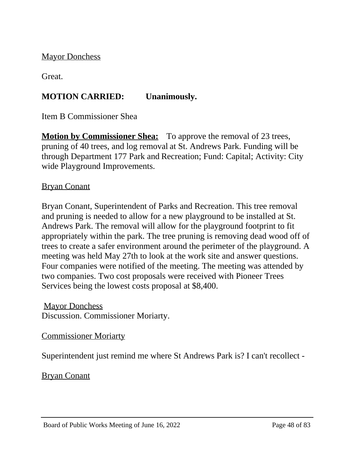**Mayor Donchess** 

Great.

# **MOTION CARRIED: Unanimously.**

Item B Commissioner Shea

**Motion by Commissioner Shea:** To approve the removal of 23 trees, pruning of 40 trees, and log removal at St. Andrews Park. Funding will be through Department 177 Park and Recreation; Fund: Capital; Activity: City wide Playground Improvements.

# Bryan Conant

Bryan Conant, Superintendent of Parks and Recreation. This tree removal and pruning is needed to allow for a new playground to be installed at St. Andrews Park. The removal will allow for the playground footprint to fit appropriately within the park. The tree pruning is removing dead wood off of trees to create a safer environment around the perimeter of the playground. A meeting was held May 27th to look at the work site and answer questions. Four companies were notified of the meeting. The meeting was attended by two companies. Two cost proposals were received with Pioneer Trees Services being the lowest costs proposal at \$8,400.

**Mayor Donchess** Discussion. Commissioner Moriarty.

# Commissioner Moriarty

Superintendent just remind me where St Andrews Park is? I can't recollect -

Bryan Conant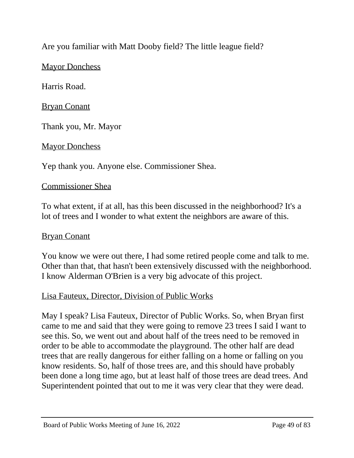# Are you familiar with Matt Dooby field? The little league field?

# **Mayor Donchess**

Harris Road.

Bryan Conant

Thank you, Mr. Mayor

**Mayor Donchess** 

Yep thank you. Anyone else. Commissioner Shea.

# Commissioner Shea

To what extent, if at all, has this been discussed in the neighborhood? It's a lot of trees and I wonder to what extent the neighbors are aware of this.

# Bryan Conant

You know we were out there, I had some retired people come and talk to me. Other than that, that hasn't been extensively discussed with the neighborhood. I know Alderman O'Brien is a very big advocate of this project.

# Lisa Fauteux, Director, Division of Public Works

May I speak? Lisa Fauteux, Director of Public Works. So, when Bryan first came to me and said that they were going to remove 23 trees I said I want to see this. So, we went out and about half of the trees need to be removed in order to be able to accommodate the playground. The other half are dead trees that are really dangerous for either falling on a home or falling on you know residents. So, half of those trees are, and this should have probably been done a long time ago, but at least half of those trees are dead trees. And Superintendent pointed that out to me it was very clear that they were dead.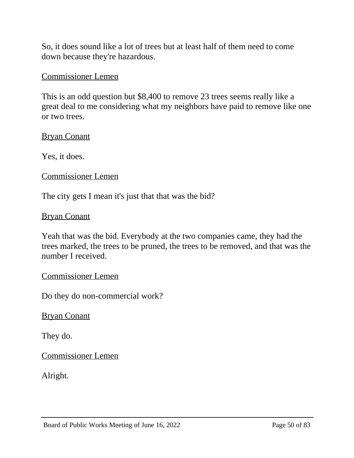So, it does sound like a lot of trees but at least half of them need to come down because they're hazardous.

#### Commissioner Lemen

This is an odd question but \$8,400 to remove 23 trees seems really like a great deal to me considering what my neighbors have paid to remove like one or two trees.

#### Bryan Conant

Yes, it does.

#### Commissioner Lemen

The city gets I mean it's just that that was the bid?

#### Bryan Conant

Yeah that was the bid. Everybody at the two companies came, they had the trees marked, the trees to be pruned, the trees to be removed, and that was the number I received.

#### Commissioner Lemen

Do they do non-commercial work?

#### Bryan Conant

They do.

Commissioner Lemen

Alright.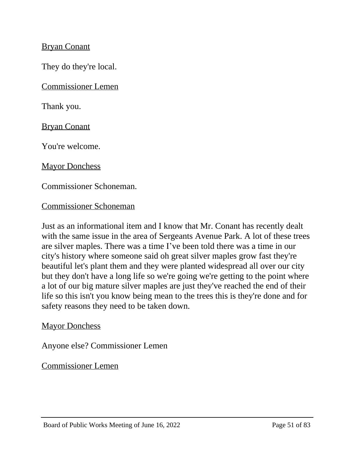# Bryan Conant

They do they're local.

Commissioner Lemen

Thank you.

Bryan Conant

You're welcome.

**Mayor Donchess** 

Commissioner Schoneman.

#### Commissioner Schoneman

Just as an informational item and I know that Mr. Conant has recently dealt with the same issue in the area of Sergeants Avenue Park. A lot of these trees are silver maples. There was a time I've been told there was a time in our city's history where someone said oh great silver maples grow fast they're beautiful let's plant them and they were planted widespread all over our city but they don't have a long life so we're going we're getting to the point where a lot of our big mature silver maples are just they've reached the end of their life so this isn't you know being mean to the trees this is they're done and for safety reasons they need to be taken down.

#### **Mayor Donchess**

Anyone else? Commissioner Lemen

Commissioner Lemen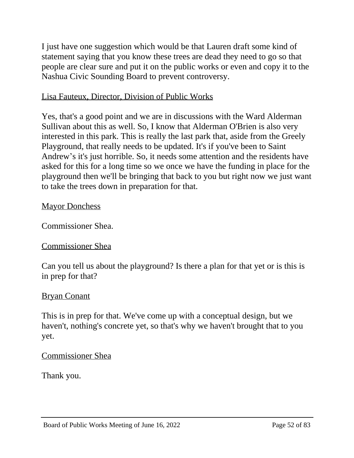I just have one suggestion which would be that Lauren draft some kind of statement saying that you know these trees are dead they need to go so that people are clear sure and put it on the public works or even and copy it to the Nashua Civic Sounding Board to prevent controversy.

# Lisa Fauteux, Director, Division of Public Works

Yes, that's a good point and we are in discussions with the Ward Alderman Sullivan about this as well. So, I know that Alderman O'Brien is also very interested in this park. This is really the last park that, aside from the Greely Playground, that really needs to be updated. It's if you've been to Saint Andrew's it's just horrible. So, it needs some attention and the residents have asked for this for a long time so we once we have the funding in place for the playground then we'll be bringing that back to you but right now we just want to take the trees down in preparation for that.

# **Mayor Donchess**

Commissioner Shea.

# Commissioner Shea

Can you tell us about the playground? Is there a plan for that yet or is this is in prep for that?

# Bryan Conant

This is in prep for that. We've come up with a conceptual design, but we haven't, nothing's concrete yet, so that's why we haven't brought that to you yet.

# Commissioner Shea

Thank you.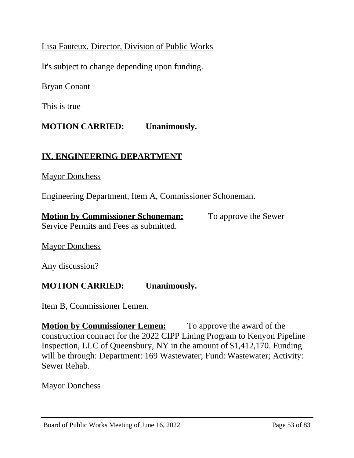# Lisa Fauteux, Director, Division of Public Works

It's subject to change depending upon funding.

Bryan Conant

This is true

# **MOTION CARRIED: Unanimously.**

# **IX. ENGINEERING DEPARTMENT**

#### **Mayor Donchess**

Engineering Department, Item A, Commissioner Schoneman.

**Motion by Commissioner Schoneman:** To approve the Sewer Service Permits and Fees as submitted.

**Mayor Donchess** 

Any discussion?

# **MOTION CARRIED: Unanimously.**

Item B, Commissioner Lemen.

**Motion by Commissioner Lemen:** To approve the award of the construction contract for the 2022 CIPP Lining Program to Kenyon Pipeline Inspection, LLC of Queensbury, NY in the amount of \$1,412,170. Funding will be through: Department: 169 Wastewater; Fund: Wastewater; Activity: Sewer Rehab.

# **Mayor Donchess**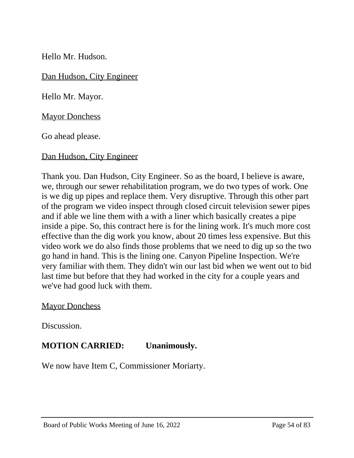Hello Mr. Hudson.

Dan Hudson, City Engineer

Hello Mr. Mayor.

**Mayor Donchess** 

Go ahead please.

Dan Hudson, City Engineer

Thank you. Dan Hudson, City Engineer. So as the board, I believe is aware, we, through our sewer rehabilitation program, we do two types of work. One is we dig up pipes and replace them. Very disruptive. Through this other part of the program we video inspect through closed circuit television sewer pipes and if able we line them with a with a liner which basically creates a pipe inside a pipe. So, this contract here is for the lining work. It's much more cost effective than the dig work you know, about 20 times less expensive. But this video work we do also finds those problems that we need to dig up so the two go hand in hand. This is the lining one. Canyon Pipeline Inspection. We're very familiar with them. They didn't win our last bid when we went out to bid last time but before that they had worked in the city for a couple years and we've had good luck with them.

**Mayor Donchess** 

Discussion.

# **MOTION CARRIED: Unanimously.**

We now have Item C, Commissioner Moriarty.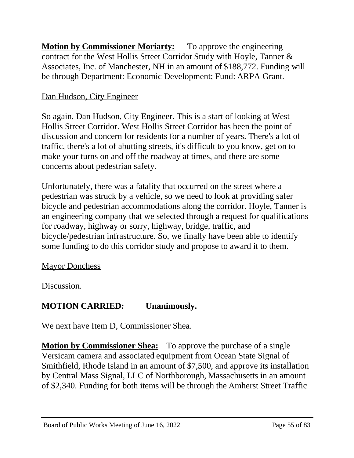**Motion by Commissioner Moriarty:** To approve the engineering contract for the West Hollis Street Corridor Study with Hoyle, Tanner & Associates, Inc. of Manchester, NH in an amount of \$188,772. Funding will be through Department: Economic Development; Fund: ARPA Grant.

# Dan Hudson, City Engineer

So again, Dan Hudson, City Engineer. This is a start of looking at West Hollis Street Corridor. West Hollis Street Corridor has been the point of discussion and concern for residents for a number of years. There's a lot of traffic, there's a lot of abutting streets, it's difficult to you know, get on to make your turns on and off the roadway at times, and there are some concerns about pedestrian safety.

Unfortunately, there was a fatality that occurred on the street where a pedestrian was struck by a vehicle, so we need to look at providing safer bicycle and pedestrian accommodations along the corridor. Hoyle, Tanner is an engineering company that we selected through a request for qualifications for roadway, highway or sorry, highway, bridge, traffic, and bicycle/pedestrian infrastructure. So, we finally have been able to identify some funding to do this corridor study and propose to award it to them.

# **Mayor Donchess**

Discussion.

# **MOTION CARRIED: Unanimously.**

We next have Item D, Commissioner Shea.

**Motion by Commissioner Shea:** To approve the purchase of a single Versicam camera and associated equipment from Ocean State Signal of Smithfield, Rhode Island in an amount of \$7,500, and approve its installation by Central Mass Signal, LLC of Northborough, Massachusetts in an amount of \$2,340. Funding for both items will be through the Amherst Street Traffic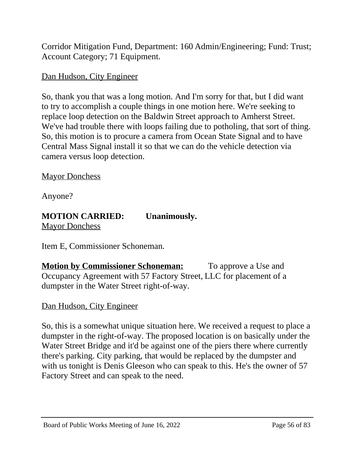Corridor Mitigation Fund, Department: 160 Admin/Engineering; Fund: Trust; Account Category; 71 Equipment.

# Dan Hudson, City Engineer

So, thank you that was a long motion. And I'm sorry for that, but I did want to try to accomplish a couple things in one motion here. We're seeking to replace loop detection on the Baldwin Street approach to Amherst Street. We've had trouble there with loops failing due to potholing, that sort of thing. So, this motion is to procure a camera from Ocean State Signal and to have Central Mass Signal install it so that we can do the vehicle detection via camera versus loop detection.

**Mayor Donchess** 

Anyone?

# **MOTION CARRIED: Unanimously.**

**Mayor Donchess** 

Item E, Commissioner Schoneman.

**Motion by Commissioner Schoneman:** To approve a Use and Occupancy Agreement with 57 Factory Street, LLC for placement of a dumpster in the Water Street right-of-way.

# Dan Hudson, City Engineer

So, this is a somewhat unique situation here. We received a request to place a dumpster in the right-of-way. The proposed location is on basically under the Water Street Bridge and it'd be against one of the piers there where currently there's parking. City parking, that would be replaced by the dumpster and with us tonight is Denis Gleeson who can speak to this. He's the owner of 57 Factory Street and can speak to the need.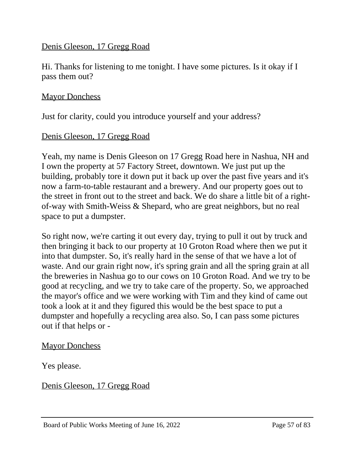# Denis Gleeson, 17 Gregg Road

Hi. Thanks for listening to me tonight. I have some pictures. Is it okay if I pass them out?

# **Mayor Donchess**

Just for clarity, could you introduce yourself and your address?

# Denis Gleeson, 17 Gregg Road

Yeah, my name is Denis Gleeson on 17 Gregg Road here in Nashua, NH and I own the property at 57 Factory Street, downtown. We just put up the building, probably tore it down put it back up over the past five years and it's now a farm-to-table restaurant and a brewery. And our property goes out to the street in front out to the street and back. We do share a little bit of a rightof-way with Smith-Weiss & Shepard, who are great neighbors, but no real space to put a dumpster.

So right now, we're carting it out every day, trying to pull it out by truck and then bringing it back to our property at 10 Groton Road where then we put it into that dumpster. So, it's really hard in the sense of that we have a lot of waste. And our grain right now, it's spring grain and all the spring grain at all the breweries in Nashua go to our cows on 10 Groton Road. And we try to be good at recycling, and we try to take care of the property. So, we approached the mayor's office and we were working with Tim and they kind of came out took a look at it and they figured this would be the best space to put a dumpster and hopefully a recycling area also. So, I can pass some pictures out if that helps or -

# **Mayor Donchess**

Yes please.

Denis Gleeson, 17 Gregg Road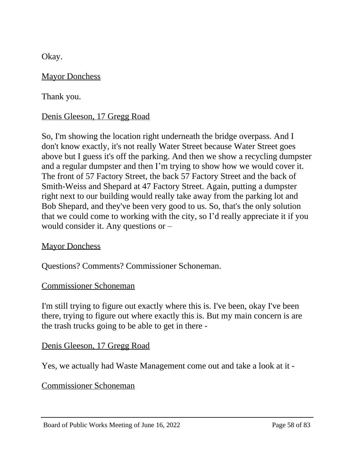Okay.

# **Mayor Donchess**

Thank you.

# Denis Gleeson, 17 Gregg Road

So, I'm showing the location right underneath the bridge overpass. And I don't know exactly, it's not really Water Street because Water Street goes above but I guess it's off the parking. And then we show a recycling dumpster and a regular dumpster and then I'm trying to show how we would cover it. The front of 57 Factory Street, the back 57 Factory Street and the back of Smith-Weiss and Shepard at 47 Factory Street. Again, putting a dumpster right next to our building would really take away from the parking lot and Bob Shepard, and they've been very good to us. So, that's the only solution that we could come to working with the city, so I'd really appreciate it if you would consider it. Any questions or –

# **Mayor Donchess**

Questions? Comments? Commissioner Schoneman.

# Commissioner Schoneman

I'm still trying to figure out exactly where this is. I've been, okay I've been there, trying to figure out where exactly this is. But my main concern is are the trash trucks going to be able to get in there -

# Denis Gleeson, 17 Gregg Road

Yes, we actually had Waste Management come out and take a look at it -

# Commissioner Schoneman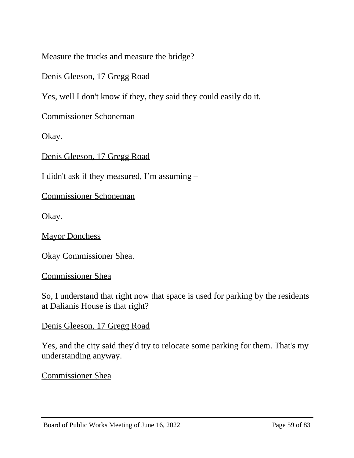Measure the trucks and measure the bridge?

# Denis Gleeson, 17 Gregg Road

Yes, well I don't know if they, they said they could easily do it.

Commissioner Schoneman

Okay.

Denis Gleeson, 17 Gregg Road

I didn't ask if they measured, I'm assuming –

Commissioner Schoneman

Okay.

**Mayor Donchess** 

Okay Commissioner Shea.

Commissioner Shea

So, I understand that right now that space is used for parking by the residents at Dalianis House is that right?

# Denis Gleeson, 17 Gregg Road

Yes, and the city said they'd try to relocate some parking for them. That's my understanding anyway.

Commissioner Shea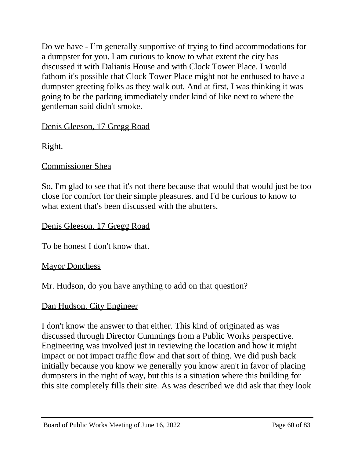Do we have - I'm generally supportive of trying to find accommodations for a dumpster for you. I am curious to know to what extent the city has discussed it with Dalianis House and with Clock Tower Place. I would fathom it's possible that Clock Tower Place might not be enthused to have a dumpster greeting folks as they walk out. And at first, I was thinking it was going to be the parking immediately under kind of like next to where the gentleman said didn't smoke.

Denis Gleeson, 17 Gregg Road

Right.

# Commissioner Shea

So, I'm glad to see that it's not there because that would that would just be too close for comfort for their simple pleasures. and I'd be curious to know to what extent that's been discussed with the abutters.

Denis Gleeson, 17 Gregg Road

To be honest I don't know that.

**Mayor Donchess** 

Mr. Hudson, do you have anything to add on that question?

# Dan Hudson, City Engineer

I don't know the answer to that either. This kind of originated as was discussed through Director Cummings from a Public Works perspective. Engineering was involved just in reviewing the location and how it might impact or not impact traffic flow and that sort of thing. We did push back initially because you know we generally you know aren't in favor of placing dumpsters in the right of way, but this is a situation where this building for this site completely fills their site. As was described we did ask that they look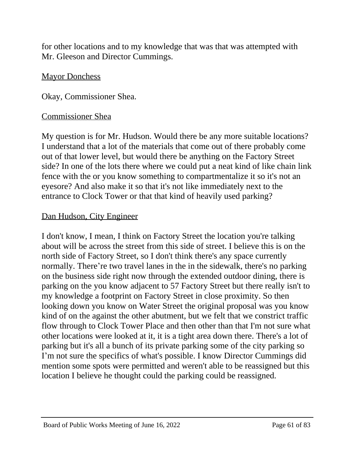for other locations and to my knowledge that was that was attempted with Mr. Gleeson and Director Cummings.

# **Mayor Donchess**

Okay, Commissioner Shea.

#### Commissioner Shea

My question is for Mr. Hudson. Would there be any more suitable locations? I understand that a lot of the materials that come out of there probably come out of that lower level, but would there be anything on the Factory Street side? In one of the lots there where we could put a neat kind of like chain link fence with the or you know something to compartmentalize it so it's not an eyesore? And also make it so that it's not like immediately next to the entrance to Clock Tower or that that kind of heavily used parking?

# Dan Hudson, City Engineer

I don't know, I mean, I think on Factory Street the location you're talking about will be across the street from this side of street. I believe this is on the north side of Factory Street, so I don't think there's any space currently normally. There're two travel lanes in the in the sidewalk, there's no parking on the business side right now through the extended outdoor dining, there is parking on the you know adjacent to 57 Factory Street but there really isn't to my knowledge a footprint on Factory Street in close proximity. So then looking down you know on Water Street the original proposal was you know kind of on the against the other abutment, but we felt that we constrict traffic flow through to Clock Tower Place and then other than that I'm not sure what other locations were looked at it, it is a tight area down there. There's a lot of parking but it's all a bunch of its private parking some of the city parking so I'm not sure the specifics of what's possible. I know Director Cummings did mention some spots were permitted and weren't able to be reassigned but this location I believe he thought could the parking could be reassigned.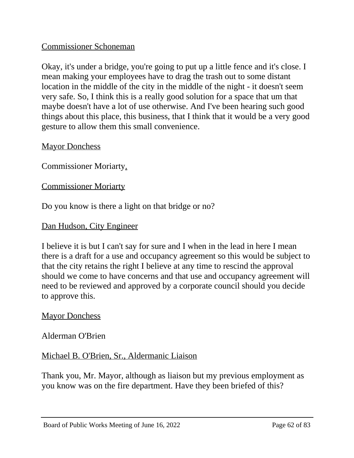# Commissioner Schoneman

Okay, it's under a bridge, you're going to put up a little fence and it's close. I mean making your employees have to drag the trash out to some distant location in the middle of the city in the middle of the night - it doesn't seem very safe. So, I think this is a really good solution for a space that um that maybe doesn't have a lot of use otherwise. And I've been hearing such good things about this place, this business, that I think that it would be a very good gesture to allow them this small convenience.

# **Mayor Donchess**

Commissioner Moriarty.

# Commissioner Moriarty

Do you know is there a light on that bridge or no?

# Dan Hudson, City Engineer

I believe it is but I can't say for sure and I when in the lead in here I mean there is a draft for a use and occupancy agreement so this would be subject to that the city retains the right I believe at any time to rescind the approval should we come to have concerns and that use and occupancy agreement will need to be reviewed and approved by a corporate council should you decide to approve this.

# **Mayor Donchess**

# Alderman O'Brien

Michael B. O'Brien, Sr., Aldermanic Liaison

Thank you, Mr. Mayor, although as liaison but my previous employment as you know was on the fire department. Have they been briefed of this?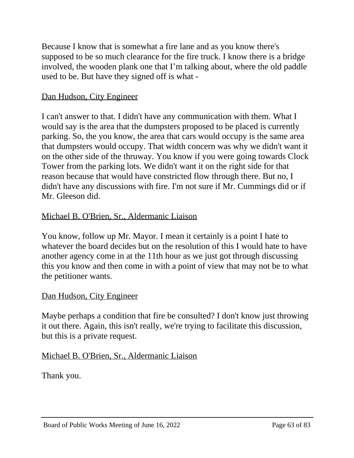Because I know that is somewhat a fire lane and as you know there's supposed to be so much clearance for the fire truck. I know there is a bridge involved, the wooden plank one that I'm talking about, where the old paddle used to be. But have they signed off is what -

# Dan Hudson, City Engineer

I can't answer to that. I didn't have any communication with them. What I would say is the area that the dumpsters proposed to be placed is currently parking. So, the you know, the area that cars would occupy is the same area that dumpsters would occupy. That width concern was why we didn't want it on the other side of the thruway. You know if you were going towards Clock Tower from the parking lots. We didn't want it on the right side for that reason because that would have constricted flow through there. But no, I didn't have any discussions with fire. I'm not sure if Mr. Cummings did or if Mr. Gleeson did.

# Michael B. O'Brien, Sr., Aldermanic Liaison

You know, follow up Mr. Mayor. I mean it certainly is a point I hate to whatever the board decides but on the resolution of this I would hate to have another agency come in at the 11th hour as we just got through discussing this you know and then come in with a point of view that may not be to what the petitioner wants.

# Dan Hudson, City Engineer

Maybe perhaps a condition that fire be consulted? I don't know just throwing it out there. Again, this isn't really, we're trying to facilitate this discussion, but this is a private request.

# Michael B. O'Brien, Sr., Aldermanic Liaison

Thank you.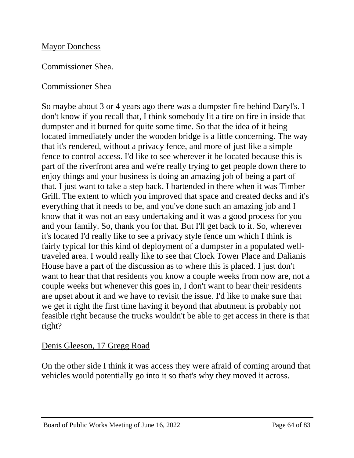# **Mayor Donchess**

# Commissioner Shea.

# Commissioner Shea

So maybe about 3 or 4 years ago there was a dumpster fire behind Daryl's. I don't know if you recall that, I think somebody lit a tire on fire in inside that dumpster and it burned for quite some time. So that the idea of it being located immediately under the wooden bridge is a little concerning. The way that it's rendered, without a privacy fence, and more of just like a simple fence to control access. I'd like to see wherever it be located because this is part of the riverfront area and we're really trying to get people down there to enjoy things and your business is doing an amazing job of being a part of that. I just want to take a step back. I bartended in there when it was Timber Grill. The extent to which you improved that space and created decks and it's everything that it needs to be, and you've done such an amazing job and I know that it was not an easy undertaking and it was a good process for you and your family. So, thank you for that. But I'll get back to it. So, wherever it's located I'd really like to see a privacy style fence um which I think is fairly typical for this kind of deployment of a dumpster in a populated welltraveled area. I would really like to see that Clock Tower Place and Dalianis House have a part of the discussion as to where this is placed. I just don't want to hear that that residents you know a couple weeks from now are, not a couple weeks but whenever this goes in, I don't want to hear their residents are upset about it and we have to revisit the issue. I'd like to make sure that we get it right the first time having it beyond that abutment is probably not feasible right because the trucks wouldn't be able to get access in there is that right?

# Denis Gleeson, 17 Gregg Road

On the other side I think it was access they were afraid of coming around that vehicles would potentially go into it so that's why they moved it across.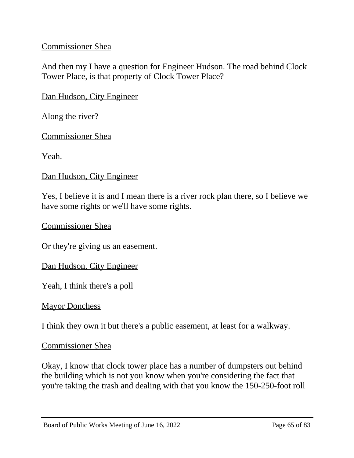# Commissioner Shea

And then my I have a question for Engineer Hudson. The road behind Clock Tower Place, is that property of Clock Tower Place?

# Dan Hudson, City Engineer

Along the river?

Commissioner Shea

Yeah.

#### Dan Hudson, City Engineer

Yes, I believe it is and I mean there is a river rock plan there, so I believe we have some rights or we'll have some rights.

Commissioner Shea

Or they're giving us an easement.

Dan Hudson, City Engineer

Yeah, I think there's a poll

#### **Mayor Donchess**

I think they own it but there's a public easement, at least for a walkway.

#### Commissioner Shea

Okay, I know that clock tower place has a number of dumpsters out behind the building which is not you know when you're considering the fact that you're taking the trash and dealing with that you know the 150-250-foot roll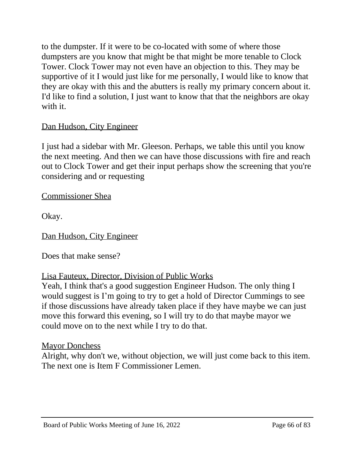to the dumpster. If it were to be co-located with some of where those dumpsters are you know that might be that might be more tenable to Clock Tower. Clock Tower may not even have an objection to this. They may be supportive of it I would just like for me personally, I would like to know that they are okay with this and the abutters is really my primary concern about it. I'd like to find a solution, I just want to know that that the neighbors are okay with it.

# Dan Hudson, City Engineer

I just had a sidebar with Mr. Gleeson. Perhaps, we table this until you know the next meeting. And then we can have those discussions with fire and reach out to Clock Tower and get their input perhaps show the screening that you're considering and or requesting

Commissioner Shea

Okay.

Dan Hudson, City Engineer

Does that make sense?

# Lisa Fauteux, Director, Division of Public Works

Yeah, I think that's a good suggestion Engineer Hudson. The only thing I would suggest is I'm going to try to get a hold of Director Cummings to see if those discussions have already taken place if they have maybe we can just move this forward this evening, so I will try to do that maybe mayor we could move on to the next while I try to do that.

# **Mayor Donchess**

Alright, why don't we, without objection, we will just come back to this item. The next one is Item F Commissioner Lemen.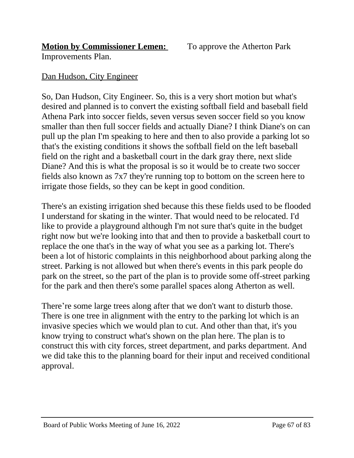# **Motion by Commissioner Lemen:** To approve the Atherton Park

Improvements Plan.

# Dan Hudson, City Engineer

So, Dan Hudson, City Engineer. So, this is a very short motion but what's desired and planned is to convert the existing softball field and baseball field Athena Park into soccer fields, seven versus seven soccer field so you know smaller than then full soccer fields and actually Diane? I think Diane's on can pull up the plan I'm speaking to here and then to also provide a parking lot so that's the existing conditions it shows the softball field on the left baseball field on the right and a basketball court in the dark gray there, next slide Diane? And this is what the proposal is so it would be to create two soccer fields also known as 7x7 they're running top to bottom on the screen here to irrigate those fields, so they can be kept in good condition.

There's an existing irrigation shed because this these fields used to be flooded I understand for skating in the winter. That would need to be relocated. I'd like to provide a playground although I'm not sure that's quite in the budget right now but we're looking into that and then to provide a basketball court to replace the one that's in the way of what you see as a parking lot. There's been a lot of historic complaints in this neighborhood about parking along the street. Parking is not allowed but when there's events in this park people do park on the street, so the part of the plan is to provide some off-street parking for the park and then there's some parallel spaces along Atherton as well.

There're some large trees along after that we don't want to disturb those. There is one tree in alignment with the entry to the parking lot which is an invasive species which we would plan to cut. And other than that, it's you know trying to construct what's shown on the plan here. The plan is to construct this with city forces, street department, and parks department. And we did take this to the planning board for their input and received conditional approval.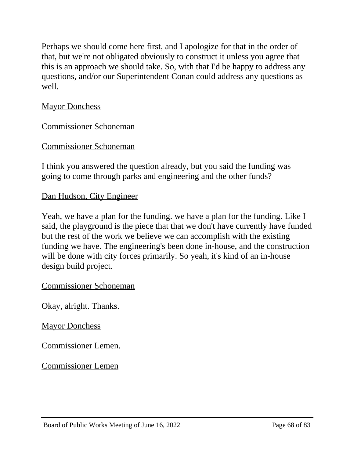Perhaps we should come here first, and I apologize for that in the order of that, but we're not obligated obviously to construct it unless you agree that this is an approach we should take. So, with that I'd be happy to address any questions, and/or our Superintendent Conan could address any questions as well.

# **Mayor Donchess**

Commissioner Schoneman

# Commissioner Schoneman

I think you answered the question already, but you said the funding was going to come through parks and engineering and the other funds?

# Dan Hudson, City Engineer

Yeah, we have a plan for the funding. we have a plan for the funding. Like I said, the playground is the piece that that we don't have currently have funded but the rest of the work we believe we can accomplish with the existing funding we have. The engineering's been done in-house, and the construction will be done with city forces primarily. So yeah, it's kind of an in-house design build project.

# Commissioner Schoneman

Okay, alright. Thanks.

# **Mayor Donchess**

Commissioner Lemen.

Commissioner Lemen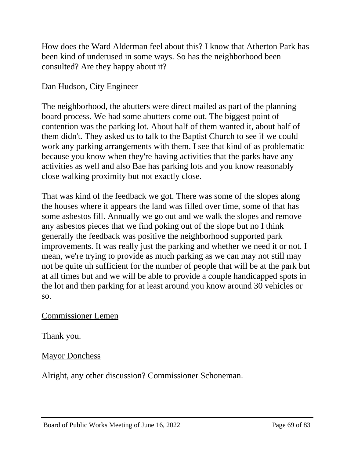How does the Ward Alderman feel about this? I know that Atherton Park has been kind of underused in some ways. So has the neighborhood been consulted? Are they happy about it?

# Dan Hudson, City Engineer

The neighborhood, the abutters were direct mailed as part of the planning board process. We had some abutters come out. The biggest point of contention was the parking lot. About half of them wanted it, about half of them didn't. They asked us to talk to the Baptist Church to see if we could work any parking arrangements with them. I see that kind of as problematic because you know when they're having activities that the parks have any activities as well and also Bae has parking lots and you know reasonably close walking proximity but not exactly close.

That was kind of the feedback we got. There was some of the slopes along the houses where it appears the land was filled over time, some of that has some asbestos fill. Annually we go out and we walk the slopes and remove any asbestos pieces that we find poking out of the slope but no I think generally the feedback was positive the neighborhood supported park improvements. It was really just the parking and whether we need it or not. I mean, we're trying to provide as much parking as we can may not still may not be quite uh sufficient for the number of people that will be at the park but at all times but and we will be able to provide a couple handicapped spots in the lot and then parking for at least around you know around 30 vehicles or so.

# Commissioner Lemen

Thank you.

# **Mayor Donchess**

Alright, any other discussion? Commissioner Schoneman.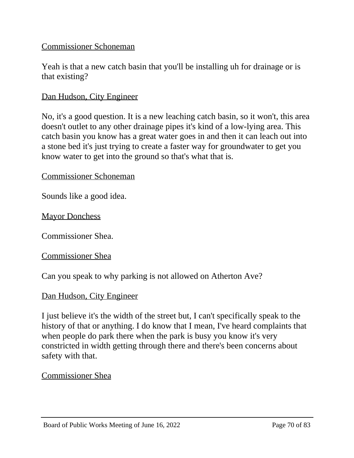# Commissioner Schoneman

Yeah is that a new catch basin that you'll be installing uh for drainage or is that existing?

#### Dan Hudson, City Engineer

No, it's a good question. It is a new leaching catch basin, so it won't, this area doesn't outlet to any other drainage pipes it's kind of a low-lying area. This catch basin you know has a great water goes in and then it can leach out into a stone bed it's just trying to create a faster way for groundwater to get you know water to get into the ground so that's what that is.

# Commissioner Schoneman

Sounds like a good idea.

**Mayor Donchess** 

Commissioner Shea.

Commissioner Shea

Can you speak to why parking is not allowed on Atherton Ave?

#### Dan Hudson, City Engineer

I just believe it's the width of the street but, I can't specifically speak to the history of that or anything. I do know that I mean, I've heard complaints that when people do park there when the park is busy you know it's very constricted in width getting through there and there's been concerns about safety with that.

#### Commissioner Shea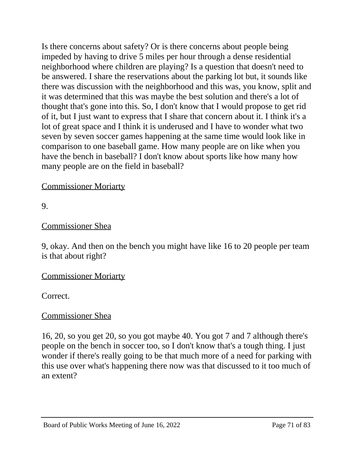Is there concerns about safety? Or is there concerns about people being impeded by having to drive 5 miles per hour through a dense residential neighborhood where children are playing? Is a question that doesn't need to be answered. I share the reservations about the parking lot but, it sounds like there was discussion with the neighborhood and this was, you know, split and it was determined that this was maybe the best solution and there's a lot of thought that's gone into this. So, I don't know that I would propose to get rid of it, but I just want to express that I share that concern about it. I think it's a lot of great space and I think it is underused and I have to wonder what two seven by seven soccer games happening at the same time would look like in comparison to one baseball game. How many people are on like when you have the bench in baseball? I don't know about sports like how many how many people are on the field in baseball?

# Commissioner Moriarty

9.

# Commissioner Shea

9, okay. And then on the bench you might have like 16 to 20 people per team is that about right?

# Commissioner Moriarty

Correct.

# Commissioner Shea

16, 20, so you get 20, so you got maybe 40. You got 7 and 7 although there's people on the bench in soccer too, so I don't know that's a tough thing. I just wonder if there's really going to be that much more of a need for parking with this use over what's happening there now was that discussed to it too much of an extent?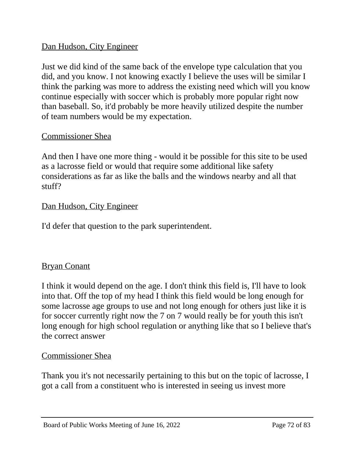# Dan Hudson, City Engineer

Just we did kind of the same back of the envelope type calculation that you did, and you know. I not knowing exactly I believe the uses will be similar I think the parking was more to address the existing need which will you know continue especially with soccer which is probably more popular right now than baseball. So, it'd probably be more heavily utilized despite the number of team numbers would be my expectation.

# Commissioner Shea

And then I have one more thing - would it be possible for this site to be used as a lacrosse field or would that require some additional like safety considerations as far as like the balls and the windows nearby and all that stuff?

# Dan Hudson, City Engineer

I'd defer that question to the park superintendent.

# Bryan Conant

I think it would depend on the age. I don't think this field is, I'll have to look into that. Off the top of my head I think this field would be long enough for some lacrosse age groups to use and not long enough for others just like it is for soccer currently right now the 7 on 7 would really be for youth this isn't long enough for high school regulation or anything like that so I believe that's the correct answer

# Commissioner Shea

Thank you it's not necessarily pertaining to this but on the topic of lacrosse, I got a call from a constituent who is interested in seeing us invest more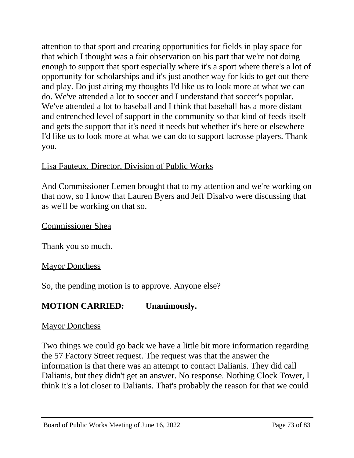attention to that sport and creating opportunities for fields in play space for that which I thought was a fair observation on his part that we're not doing enough to support that sport especially where it's a sport where there's a lot of opportunity for scholarships and it's just another way for kids to get out there and play. Do just airing my thoughts I'd like us to look more at what we can do. We've attended a lot to soccer and I understand that soccer's popular. We've attended a lot to baseball and I think that baseball has a more distant and entrenched level of support in the community so that kind of feeds itself and gets the support that it's need it needs but whether it's here or elsewhere I'd like us to look more at what we can do to support lacrosse players. Thank you.

# Lisa Fauteux, Director, Division of Public Works

And Commissioner Lemen brought that to my attention and we're working on that now, so I know that Lauren Byers and Jeff Disalvo were discussing that as we'll be working on that so.

Commissioner Shea

Thank you so much.

# **Mayor Donchess**

So, the pending motion is to approve. Anyone else?

# **MOTION CARRIED: Unanimously.**

# **Mayor Donchess**

Two things we could go back we have a little bit more information regarding the 57 Factory Street request. The request was that the answer the information is that there was an attempt to contact Dalianis. They did call Dalianis, but they didn't get an answer. No response. Nothing Clock Tower, I think it's a lot closer to Dalianis. That's probably the reason for that we could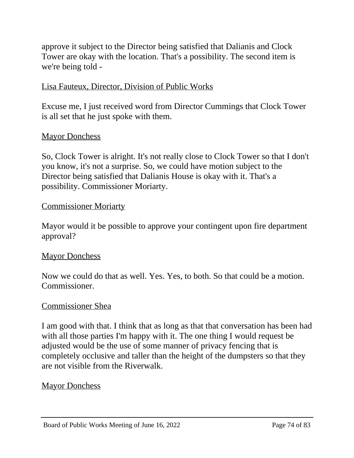approve it subject to the Director being satisfied that Dalianis and Clock Tower are okay with the location. That's a possibility. The second item is we're being told -

# Lisa Fauteux, Director, Division of Public Works

Excuse me, I just received word from Director Cummings that Clock Tower is all set that he just spoke with them.

### Mayor Donchess

So, Clock Tower is alright. It's not really close to Clock Tower so that I don't you know, it's not a surprise. So, we could have motion subject to the Director being satisfied that Dalianis House is okay with it. That's a possibility. Commissioner Moriarty.

### Commissioner Moriarty

Mayor would it be possible to approve your contingent upon fire department approval?

### **Mayor Donchess**

Now we could do that as well. Yes. Yes, to both. So that could be a motion. Commissioner.

### Commissioner Shea

I am good with that. I think that as long as that that conversation has been had with all those parties I'm happy with it. The one thing I would request be adjusted would be the use of some manner of privacy fencing that is completely occlusive and taller than the height of the dumpsters so that they are not visible from the Riverwalk.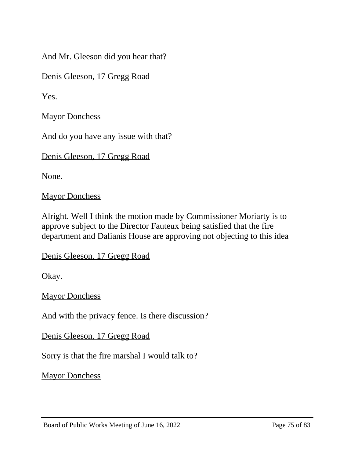And Mr. Gleeson did you hear that?

Denis Gleeson, 17 Gregg Road

Yes.

**Mayor Donchess** 

And do you have any issue with that?

Denis Gleeson, 17 Gregg Road

None.

**Mayor Donchess** 

Alright. Well I think the motion made by Commissioner Moriarty is to approve subject to the Director Fauteux being satisfied that the fire department and Dalianis House are approving not objecting to this idea

Denis Gleeson, 17 Gregg Road

Okay.

**Mayor Donchess** 

And with the privacy fence. Is there discussion?

Denis Gleeson, 17 Gregg Road

Sorry is that the fire marshal I would talk to?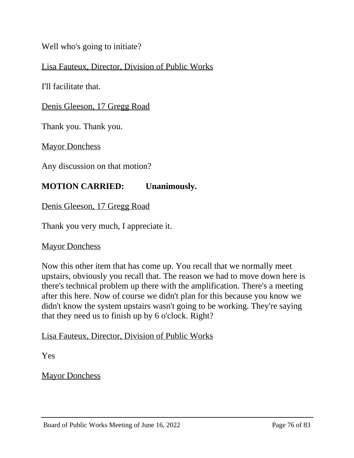# Well who's going to initiate?

## Lisa Fauteux, Director, Division of Public Works

I'll facilitate that.

#### Denis Gleeson, 17 Gregg Road

Thank you. Thank you.

**Mayor Donchess** 

Any discussion on that motion?

## **MOTION CARRIED: Unanimously.**

Denis Gleeson, 17 Gregg Road

Thank you very much, I appreciate it.

**Mayor Donchess** 

Now this other item that has come up. You recall that we normally meet upstairs, obviously you recall that. The reason we had to move down here is there's technical problem up there with the amplification. There's a meeting after this here. Now of course we didn't plan for this because you know we didn't know the system upstairs wasn't going to be working. They're saying that they need us to finish up by 6 o'clock. Right?

#### Lisa Fauteux, Director, Division of Public Works

Yes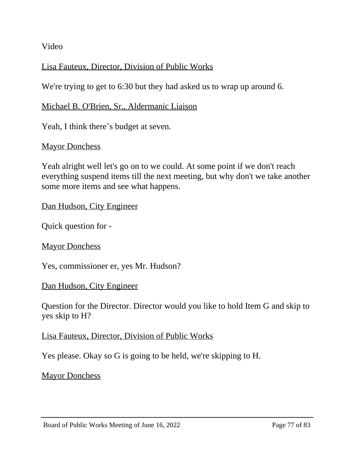Video

# Lisa Fauteux, Director, Division of Public Works

We're trying to get to 6:30 but they had asked us to wrap up around 6.

## Michael B. O'Brien, Sr., Aldermanic Liaison

Yeah, I think there's budget at seven.

## **Mayor Donchess**

Yeah alright well let's go on to we could. At some point if we don't reach everything suspend items till the next meeting, but why don't we take another some more items and see what happens.

## Dan Hudson, City Engineer

Quick question for -

**Mayor Donchess** 

Yes, commissioner er, yes Mr. Hudson?

#### Dan Hudson, City Engineer

Question for the Director. Director would you like to hold Item G and skip to yes skip to H?

### Lisa Fauteux, Director, Division of Public Works

Yes please. Okay so G is going to be held, we're skipping to H.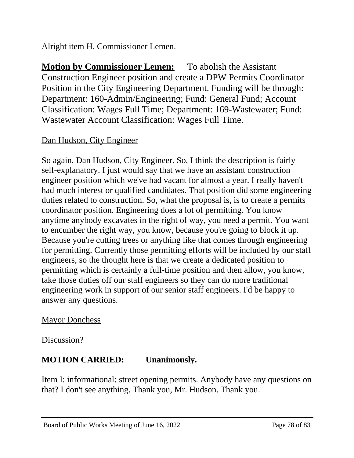Alright item H. Commissioner Lemen.

**Motion by Commissioner Lemen:** To abolish the Assistant Construction Engineer position and create a DPW Permits Coordinator Position in the City Engineering Department. Funding will be through: Department: 160-Admin/Engineering; Fund: General Fund; Account Classification: Wages Full Time; Department: 169-Wastewater; Fund: Wastewater Account Classification: Wages Full Time.

# Dan Hudson, City Engineer

So again, Dan Hudson, City Engineer. So, I think the description is fairly self-explanatory. I just would say that we have an assistant construction engineer position which we've had vacant for almost a year. I really haven't had much interest or qualified candidates. That position did some engineering duties related to construction. So, what the proposal is, is to create a permits coordinator position. Engineering does a lot of permitting. You know anytime anybody excavates in the right of way, you need a permit. You want to encumber the right way, you know, because you're going to block it up. Because you're cutting trees or anything like that comes through engineering for permitting. Currently those permitting efforts will be included by our staff engineers, so the thought here is that we create a dedicated position to permitting which is certainly a full-time position and then allow, you know, take those duties off our staff engineers so they can do more traditional engineering work in support of our senior staff engineers. I'd be happy to answer any questions.

# **Mayor Donchess**

Discussion?

# **MOTION CARRIED: Unanimously.**

Item I: informational: street opening permits. Anybody have any questions on that? I don't see anything. Thank you, Mr. Hudson. Thank you.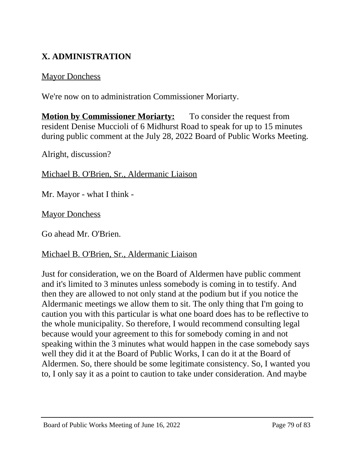# **X. ADMINISTRATION**

# **Mayor Donchess**

We're now on to administration Commissioner Moriarty.

**Motion by Commissioner Moriarty:** To consider the request from resident Denise Muccioli of 6 Midhurst Road to speak for up to 15 minutes during public comment at the July 28, 2022 Board of Public Works Meeting.

Alright, discussion?

Michael B. O'Brien, Sr., Aldermanic Liaison

Mr. Mayor - what I think -

Mayor Donchess

Go ahead Mr. O'Brien.

# Michael B. O'Brien, Sr., Aldermanic Liaison

Just for consideration, we on the Board of Aldermen have public comment and it's limited to 3 minutes unless somebody is coming in to testify. And then they are allowed to not only stand at the podium but if you notice the Aldermanic meetings we allow them to sit. The only thing that I'm going to caution you with this particular is what one board does has to be reflective to the whole municipality. So therefore, I would recommend consulting legal because would your agreement to this for somebody coming in and not speaking within the 3 minutes what would happen in the case somebody says well they did it at the Board of Public Works, I can do it at the Board of Aldermen. So, there should be some legitimate consistency. So, I wanted you to, I only say it as a point to caution to take under consideration. And maybe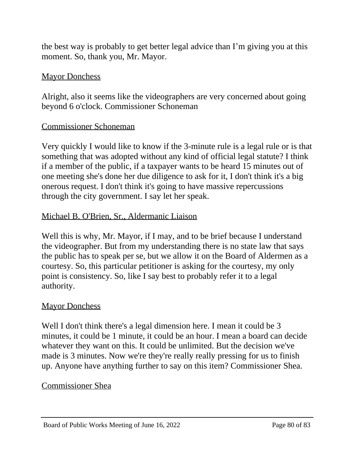the best way is probably to get better legal advice than I'm giving you at this moment. So, thank you, Mr. Mayor.

### **Mayor Donchess**

Alright, also it seems like the videographers are very concerned about going beyond 6 o'clock. Commissioner Schoneman

## Commissioner Schoneman

Very quickly I would like to know if the 3-minute rule is a legal rule or is that something that was adopted without any kind of official legal statute? I think if a member of the public, if a taxpayer wants to be heard 15 minutes out of one meeting she's done her due diligence to ask for it, I don't think it's a big onerous request. I don't think it's going to have massive repercussions through the city government. I say let her speak.

## Michael B. O'Brien, Sr., Aldermanic Liaison

Well this is why, Mr. Mayor, if I may, and to be brief because I understand the videographer. But from my understanding there is no state law that says the public has to speak per se, but we allow it on the Board of Aldermen as a courtesy. So, this particular petitioner is asking for the courtesy, my only point is consistency. So, like I say best to probably refer it to a legal authority.

### **Mayor Donchess**

Well I don't think there's a legal dimension here. I mean it could be 3 minutes, it could be 1 minute, it could be an hour. I mean a board can decide whatever they want on this. It could be unlimited. But the decision we've made is 3 minutes. Now we're they're really really pressing for us to finish up. Anyone have anything further to say on this item? Commissioner Shea.

### Commissioner Shea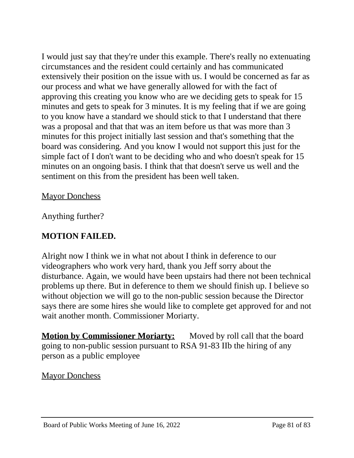I would just say that they're under this example. There's really no extenuating circumstances and the resident could certainly and has communicated extensively their position on the issue with us. I would be concerned as far as our process and what we have generally allowed for with the fact of approving this creating you know who are we deciding gets to speak for 15 minutes and gets to speak for 3 minutes. It is my feeling that if we are going to you know have a standard we should stick to that I understand that there was a proposal and that that was an item before us that was more than 3 minutes for this project initially last session and that's something that the board was considering. And you know I would not support this just for the simple fact of I don't want to be deciding who and who doesn't speak for 15 minutes on an ongoing basis. I think that that doesn't serve us well and the sentiment on this from the president has been well taken.

# **Mayor Donchess**

Anything further?

# **MOTION FAILED.**

Alright now I think we in what not about I think in deference to our videographers who work very hard, thank you Jeff sorry about the disturbance. Again, we would have been upstairs had there not been technical problems up there. But in deference to them we should finish up. I believe so without objection we will go to the non-public session because the Director says there are some hires she would like to complete get approved for and not wait another month. Commissioner Moriarty.

**Motion by Commissioner Moriarty:** Moved by roll call that the board going to non-public session pursuant to RSA 91-83 IIb the hiring of any person as a public employee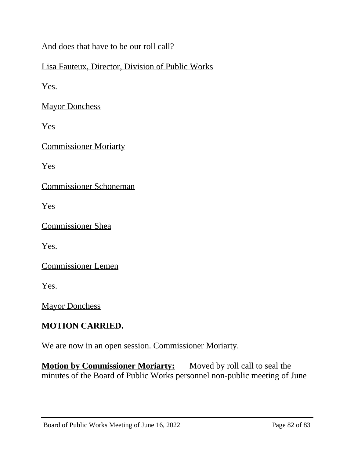And does that have to be our roll call?

# Lisa Fauteux, Director, Division of Public Works

Yes.

Mayor Donchess

Yes

Commissioner Moriarty

Yes

Commissioner Schoneman

Yes

Commissioner Shea

Yes.

Commissioner Lemen

Yes.

**Mayor Donchess** 

# **MOTION CARRIED.**

We are now in an open session. Commissioner Moriarty.

**Motion by Commissioner Moriarty:** Moved by roll call to seal the minutes of the Board of Public Works personnel non-public meeting of June